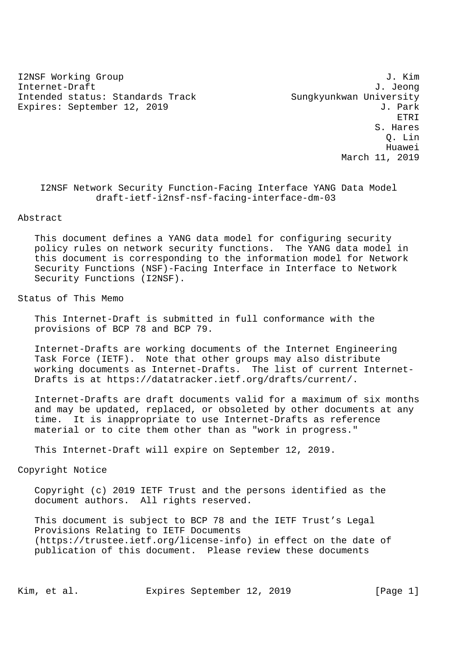I2NSF Working Group 3. The state of the state of the state of the state of the state of the state of the state of the state of the state of the state of the state of the state of the state of the state of the state of the Internet-Draft J. Jeong Intended status: Standards Track Sungkyunkwan University Expires: September 12, 2019 **J. Park** 

 ETRI S. Hares Q. Lin Huawei March 11, 2019

## I2NSF Network Security Function-Facing Interface YANG Data Model draft-ietf-i2nsf-nsf-facing-interface-dm-03

### Abstract

 This document defines a YANG data model for configuring security policy rules on network security functions. The YANG data model in this document is corresponding to the information model for Network Security Functions (NSF)-Facing Interface in Interface to Network Security Functions (I2NSF).

### Status of This Memo

 This Internet-Draft is submitted in full conformance with the provisions of BCP 78 and BCP 79.

 Internet-Drafts are working documents of the Internet Engineering Task Force (IETF). Note that other groups may also distribute working documents as Internet-Drafts. The list of current Internet- Drafts is at https://datatracker.ietf.org/drafts/current/.

 Internet-Drafts are draft documents valid for a maximum of six months and may be updated, replaced, or obsoleted by other documents at any time. It is inappropriate to use Internet-Drafts as reference material or to cite them other than as "work in progress."

This Internet-Draft will expire on September 12, 2019.

# Copyright Notice

 Copyright (c) 2019 IETF Trust and the persons identified as the document authors. All rights reserved.

 This document is subject to BCP 78 and the IETF Trust's Legal Provisions Relating to IETF Documents (https://trustee.ietf.org/license-info) in effect on the date of publication of this document. Please review these documents

Kim, et al. Expires September 12, 2019 [Page 1]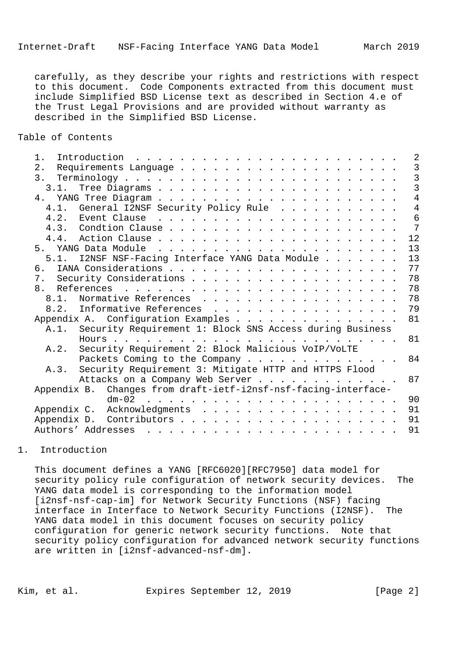carefully, as they describe your rights and restrictions with respect to this document. Code Components extracted from this document must include Simplified BSD License text as described in Section 4.e of the Trust Legal Provisions and are provided without warranty as described in the Simplified BSD License.

Table of Contents

|                                                                                     | $1$ . |  |                                                                 |  |                                                                                                                                                                                                                                   |  |  |  |  |  |  |  |    |  |  |  |  |  | $\overline{2}$ |
|-------------------------------------------------------------------------------------|-------|--|-----------------------------------------------------------------|--|-----------------------------------------------------------------------------------------------------------------------------------------------------------------------------------------------------------------------------------|--|--|--|--|--|--|--|----|--|--|--|--|--|----------------|
|                                                                                     | 2.    |  |                                                                 |  |                                                                                                                                                                                                                                   |  |  |  |  |  |  |  |    |  |  |  |  |  | 3              |
|                                                                                     |       |  |                                                                 |  |                                                                                                                                                                                                                                   |  |  |  |  |  |  |  |    |  |  |  |  |  | $\overline{3}$ |
|                                                                                     | 3.1.  |  |                                                                 |  |                                                                                                                                                                                                                                   |  |  |  |  |  |  |  |    |  |  |  |  |  | $\overline{3}$ |
|                                                                                     |       |  |                                                                 |  |                                                                                                                                                                                                                                   |  |  |  |  |  |  |  |    |  |  |  |  |  | $\overline{4}$ |
|                                                                                     | 4.1.  |  | General I2NSF Security Policy Rule                              |  |                                                                                                                                                                                                                                   |  |  |  |  |  |  |  |    |  |  |  |  |  | $\overline{4}$ |
|                                                                                     |       |  |                                                                 |  |                                                                                                                                                                                                                                   |  |  |  |  |  |  |  |    |  |  |  |  |  | 6              |
|                                                                                     |       |  |                                                                 |  |                                                                                                                                                                                                                                   |  |  |  |  |  |  |  |    |  |  |  |  |  | $\overline{7}$ |
|                                                                                     |       |  |                                                                 |  |                                                                                                                                                                                                                                   |  |  |  |  |  |  |  |    |  |  |  |  |  | 12             |
|                                                                                     |       |  | 5. YANG Data Module                                             |  | $\frac{1}{2}$ . The state of the state of the state of the state of the state of the state of the state of the state of the state of the state of the state of the state of the state of the state of the state of the state of t |  |  |  |  |  |  |  |    |  |  |  |  |  | 13             |
|                                                                                     |       |  | 5.1. I2NSF NSF-Facing Interface YANG Data Module                |  |                                                                                                                                                                                                                                   |  |  |  |  |  |  |  |    |  |  |  |  |  | 13             |
|                                                                                     | ნ.    |  |                                                                 |  |                                                                                                                                                                                                                                   |  |  |  |  |  |  |  |    |  |  |  |  |  | 77             |
|                                                                                     |       |  |                                                                 |  |                                                                                                                                                                                                                                   |  |  |  |  |  |  |  |    |  |  |  |  |  | 78             |
|                                                                                     |       |  |                                                                 |  |                                                                                                                                                                                                                                   |  |  |  |  |  |  |  |    |  |  |  |  |  | 78             |
|                                                                                     | 8.1.  |  | Normative References                                            |  |                                                                                                                                                                                                                                   |  |  |  |  |  |  |  |    |  |  |  |  |  | 78             |
|                                                                                     |       |  | 8.2. Informative References                                     |  |                                                                                                                                                                                                                                   |  |  |  |  |  |  |  |    |  |  |  |  |  | 79             |
|                                                                                     |       |  | Appendix A. Configuration Examples                              |  |                                                                                                                                                                                                                                   |  |  |  |  |  |  |  |    |  |  |  |  |  | 81             |
|                                                                                     |       |  | A.1. Security Requirement 1: Block SNS Access during Business   |  |                                                                                                                                                                                                                                   |  |  |  |  |  |  |  |    |  |  |  |  |  |                |
|                                                                                     |       |  |                                                                 |  |                                                                                                                                                                                                                                   |  |  |  |  |  |  |  |    |  |  |  |  |  | 81             |
|                                                                                     | A.2.  |  |                                                                 |  |                                                                                                                                                                                                                                   |  |  |  |  |  |  |  |    |  |  |  |  |  |                |
| Security Requirement 2: Block Malicious VoIP/VoLTE<br>Packets Coming to the Company |       |  |                                                                 |  |                                                                                                                                                                                                                                   |  |  |  |  |  |  |  | 84 |  |  |  |  |  |                |
|                                                                                     | A.3.  |  | Security Requirement 3: Mitigate HTTP and HTTPS Flood           |  |                                                                                                                                                                                                                                   |  |  |  |  |  |  |  |    |  |  |  |  |  |                |
|                                                                                     |       |  | Attacks on a Company Web Server                                 |  |                                                                                                                                                                                                                                   |  |  |  |  |  |  |  |    |  |  |  |  |  | 87             |
|                                                                                     |       |  | Appendix B. Changes from draft-ietf-i2nsf-nsf-facing-interface- |  |                                                                                                                                                                                                                                   |  |  |  |  |  |  |  |    |  |  |  |  |  |                |
|                                                                                     |       |  |                                                                 |  |                                                                                                                                                                                                                                   |  |  |  |  |  |  |  |    |  |  |  |  |  | 90             |
|                                                                                     |       |  |                                                                 |  |                                                                                                                                                                                                                                   |  |  |  |  |  |  |  |    |  |  |  |  |  | 91             |
|                                                                                     |       |  |                                                                 |  |                                                                                                                                                                                                                                   |  |  |  |  |  |  |  |    |  |  |  |  |  | 91             |
|                                                                                     |       |  |                                                                 |  |                                                                                                                                                                                                                                   |  |  |  |  |  |  |  |    |  |  |  |  |  | 91             |
|                                                                                     |       |  |                                                                 |  |                                                                                                                                                                                                                                   |  |  |  |  |  |  |  |    |  |  |  |  |  |                |

## 1. Introduction

 This document defines a YANG [RFC6020][RFC7950] data model for security policy rule configuration of network security devices. The YANG data model is corresponding to the information model [i2nsf-nsf-cap-im] for Network Security Functions (NSF) facing interface in Interface to Network Security Functions (I2NSF). The YANG data model in this document focuses on security policy configuration for generic network security functions. Note that security policy configuration for advanced network security functions are written in [i2nsf-advanced-nsf-dm].

Kim, et al. Expires September 12, 2019 [Page 2]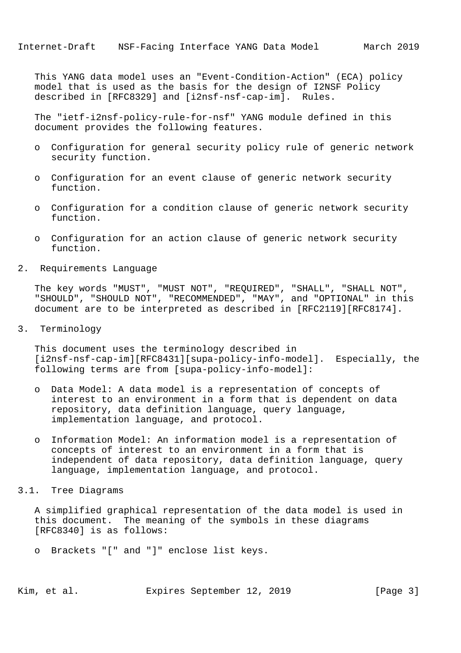This YANG data model uses an "Event-Condition-Action" (ECA) policy model that is used as the basis for the design of I2NSF Policy described in [RFC8329] and [i2nsf-nsf-cap-im]. Rules.

 The "ietf-i2nsf-policy-rule-for-nsf" YANG module defined in this document provides the following features.

- o Configuration for general security policy rule of generic network security function.
- o Configuration for an event clause of generic network security function.
- o Configuration for a condition clause of generic network security function.
- o Configuration for an action clause of generic network security function.
- 2. Requirements Language

 The key words "MUST", "MUST NOT", "REQUIRED", "SHALL", "SHALL NOT", "SHOULD", "SHOULD NOT", "RECOMMENDED", "MAY", and "OPTIONAL" in this document are to be interpreted as described in [RFC2119][RFC8174].

3. Terminology

 This document uses the terminology described in [i2nsf-nsf-cap-im][RFC8431][supa-policy-info-model]. Especially, the following terms are from [supa-policy-info-model]:

- o Data Model: A data model is a representation of concepts of interest to an environment in a form that is dependent on data repository, data definition language, query language, implementation language, and protocol.
- o Information Model: An information model is a representation of concepts of interest to an environment in a form that is independent of data repository, data definition language, query language, implementation language, and protocol.
- 3.1. Tree Diagrams

 A simplified graphical representation of the data model is used in this document. The meaning of the symbols in these diagrams [RFC8340] is as follows:

o Brackets "[" and "]" enclose list keys.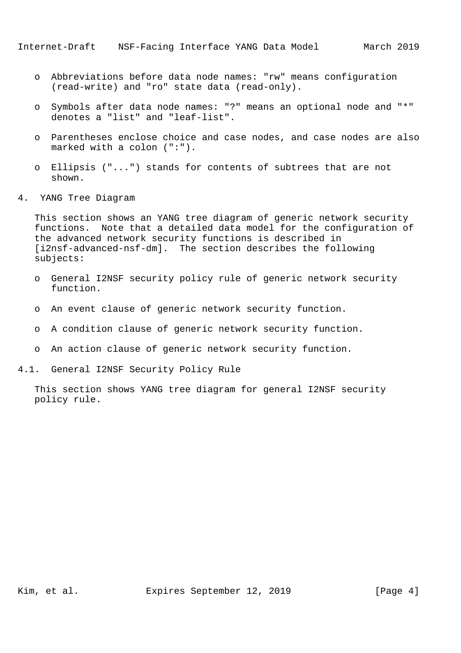- o Abbreviations before data node names: "rw" means configuration (read-write) and "ro" state data (read-only).
- o Symbols after data node names: "?" means an optional node and "\*" denotes a "list" and "leaf-list".
- o Parentheses enclose choice and case nodes, and case nodes are also marked with a colon (":").
- o Ellipsis ("...") stands for contents of subtrees that are not shown.
- 4. YANG Tree Diagram

 This section shows an YANG tree diagram of generic network security functions. Note that a detailed data model for the configuration of the advanced network security functions is described in [i2nsf-advanced-nsf-dm]. The section describes the following subjects:

- o General I2NSF security policy rule of generic network security function.
- o An event clause of generic network security function.
- o A condition clause of generic network security function.
- o An action clause of generic network security function.
- 4.1. General I2NSF Security Policy Rule

 This section shows YANG tree diagram for general I2NSF security policy rule.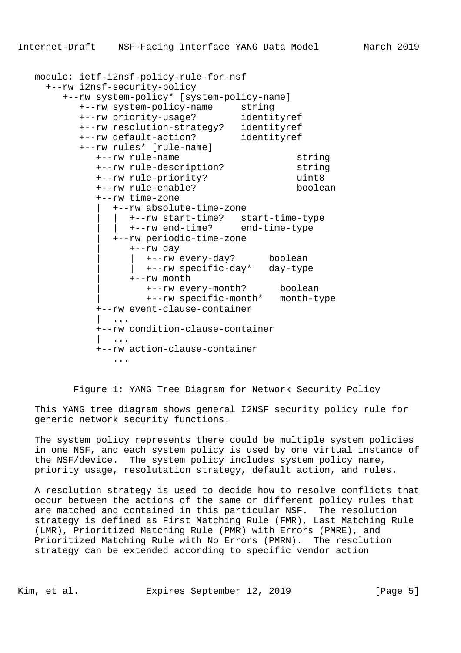```
 module: ietf-i2nsf-policy-rule-for-nsf
     +--rw i2nsf-security-policy
        +--rw system-policy* [system-policy-name]
          +--rw system-policy-name string
           +--rw priority-usage? identityref
          +--rw resolution-strategy? identityref
 +--rw default-action? identityref
 +--rw rules* [rule-name]
             +--rw rule-name string
             +--rw rule-description? string
             +--rw rule-priority? uint8
             +--rw rule-enable? boolean
             +--rw time-zone
                | +--rw absolute-time-zone
                   | | +--rw start-time? start-time-type
                  | | +--rw end-time? end-time-type
                | +--rw periodic-time-zone
                   | +--rw day
                      | | +--rw every-day? boolean
                     | | +--rw specific-day* day-type
                   | +--rw month
                      | +--rw every-month? boolean
                      | +--rw specific-month* month-type
             +--rw event-clause-container
                | ...
             +--rw condition-clause-container
| .... | ... | ...
             +--rw action-clause-container
```
Figure 1: YANG Tree Diagram for Network Security Policy

 This YANG tree diagram shows general I2NSF security policy rule for generic network security functions.

 The system policy represents there could be multiple system policies in one NSF, and each system policy is used by one virtual instance of the NSF/device. The system policy includes system policy name, priority usage, resolutation strategy, default action, and rules.

 A resolution strategy is used to decide how to resolve conflicts that occur between the actions of the same or different policy rules that are matched and contained in this particular NSF. The resolution strategy is defined as First Matching Rule (FMR), Last Matching Rule (LMR), Prioritized Matching Rule (PMR) with Errors (PMRE), and Prioritized Matching Rule with No Errors (PMRN). The resolution strategy can be extended according to specific vendor action

...

Kim, et al. Expires September 12, 2019 [Page 5]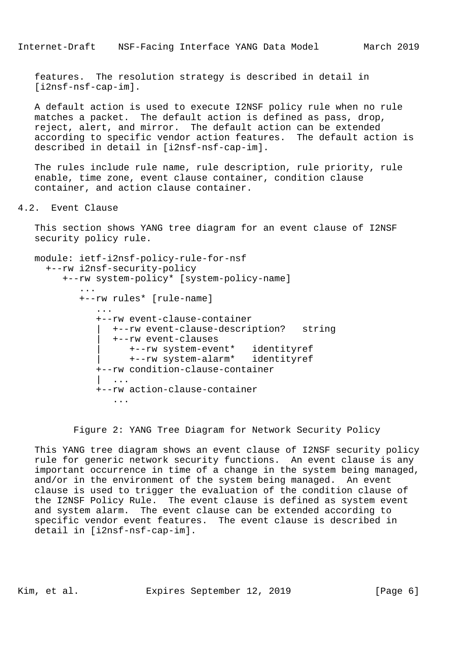features. The resolution strategy is described in detail in [i2nsf-nsf-cap-im].

 A default action is used to execute I2NSF policy rule when no rule matches a packet. The default action is defined as pass, drop, reject, alert, and mirror. The default action can be extended according to specific vendor action features. The default action is described in detail in [i2nsf-nsf-cap-im].

 The rules include rule name, rule description, rule priority, rule enable, time zone, event clause container, condition clause container, and action clause container.

## 4.2. Event Clause

 This section shows YANG tree diagram for an event clause of I2NSF security policy rule.

```
 module: ietf-i2nsf-policy-rule-for-nsf
     +--rw i2nsf-security-policy
        +--rw system-policy* [system-policy-name]
 ...
           +--rw rules* [rule-name]
 ...
              +--rw event-clause-container
                 | +--rw event-clause-description? string
                 | +--rw event-clauses
                    | +--rw system-event* identityref
                    | +--rw system-alarm* identityref
              +--rw condition-clause-container
                | ...
              +--rw action-clause-container
                 ...
```
Figure 2: YANG Tree Diagram for Network Security Policy

 This YANG tree diagram shows an event clause of I2NSF security policy rule for generic network security functions. An event clause is any important occurrence in time of a change in the system being managed, and/or in the environment of the system being managed. An event clause is used to trigger the evaluation of the condition clause of the I2NSF Policy Rule. The event clause is defined as system event and system alarm. The event clause can be extended according to specific vendor event features. The event clause is described in detail in [i2nsf-nsf-cap-im].

Kim, et al. Expires September 12, 2019 [Page 6]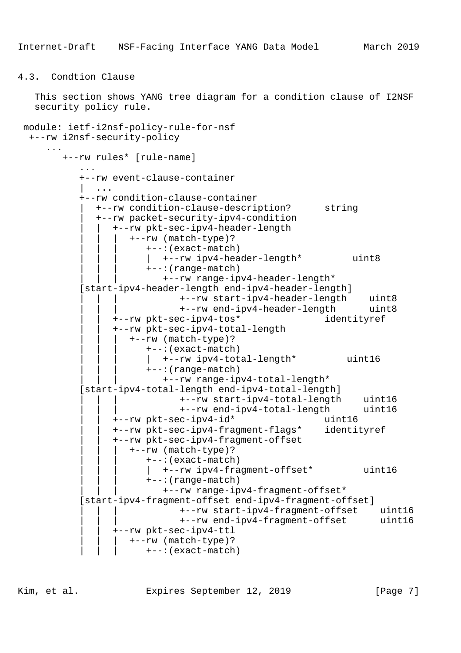```
4.3. Condtion Clause
```
 This section shows YANG tree diagram for a condition clause of I2NSF security policy rule.

```
 module: ietf-i2nsf-policy-rule-for-nsf
  +--rw i2nsf-security-policy
     ...
        +--rw rules* [rule-name]
            ...
            +--rw event-clause-container
               | ...
            +--rw condition-clause-container
               | +--rw condition-clause-description? string
               | +--rw packet-security-ipv4-condition
                 | | +--rw pkt-sec-ipv4-header-length
                      | | | +--rw (match-type)?
                         | | | +--:(exact-match)
                         | | | | +--rw ipv4-header-length* uint8
                         | | | +--:(range-match)
                            | | | +--rw range-ipv4-header-length*
            [start-ipv4-header-length end-ipv4-header-length]
                               | | | +--rw start-ipv4-header-length uint8
                                | | | +--rw end-ipv4-header-length uint8
                  | | +--rw pkt-sec-ipv4-tos* identityref
                  | | +--rw pkt-sec-ipv4-total-length
                     | | | +--rw (match-type)?
                         | | | +--:(exact-match)
                           | | | | +--rw ipv4-total-length* uint16
                         | | | +--:(range-match)
                            | | | +--rw range-ipv4-total-length*
            [start-ipv4-total-length end-ipv4-total-length]
                                | | | +--rw start-ipv4-total-length uint16
                                | | | +--rw end-ipv4-total-length uint16
                  | | +--rw pkt-sec-ipv4-id* uint16
                  | | +--rw pkt-sec-ipv4-fragment-flags* identityref
                  | | +--rw pkt-sec-ipv4-fragment-offset
                      | | | +--rw (match-type)?
                         | | | +--:(exact-match)
                            | | | | +--rw ipv4-fragment-offset* uint16
                         | | | +--:(range-match)
                            | | | +--rw range-ipv4-fragment-offset*
            [start-ipv4-fragment-offset end-ipv4-fragment-offset]
                              | | | +--rw start-ipv4-fragment-offset uint16
                               | | | +--rw end-ipv4-fragment-offset uint16
                   | | +--rw pkt-sec-ipv4-ttl
                     | | | +--rw (match-type)?
                         | | | +--:(exact-match)
```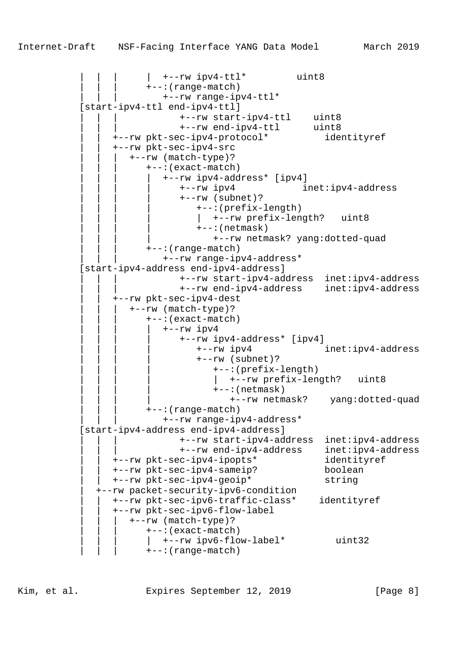$|$  +--rw ipv4-ttl\* uint8 | | | +--:(range-match) | | | +--rw range-ipv4-ttl\* [start-ipv4-ttl end-ipv4-ttl] | | | +--rw start-ipv4-ttl uint8 | | | +--rw end-ipv4-ttl uint8 | | +--rw pkt-sec-ipv4-protocol\* identityref | | +--rw pkt-sec-ipv4-src | | | +--rw (match-type)? | | | +--:(exact-match) | | | | +--rw ipv4-address\* [ipv4] | | | | +--rw ipv4 inet:ipv4-address | | | | +--rw (subnet)? | | | | +--:(prefix-length) | +--rw prefix-length? uint8  $+--:(netmask)$  | | | | +--rw netmask? yang:dotted-quad | | | +--:(range-match) | | | +--rw range-ipv4-address\* [start-ipv4-address end-ipv4-address] | | | +--rw start-ipv4-address inet:ipv4-address | | | +--rw end-ipv4-address inet:ipv4-address | | +--rw pkt-sec-ipv4-dest | | | +--rw (match-type)? | | | +--:(exact-match)  $+--rw$  ipv4 | | | | +--rw ipv4-address\* [ipv4] | | | | +--rw ipv4 inet:ipv4-address | | | | +--rw (subnet)? | | | | +--:(prefix-length) | +--rw prefix-length? uint8  $+--:(netmask)$  | | | | +--rw netmask? yang:dotted-quad | | | +--:(range-match) | | | +--rw range-ipv4-address\* [start-ipv4-address end-ipv4-address] | | | +--rw start-ipv4-address inet:ipv4-address | | | +--rw end-ipv4-address inet:ipv4-address | | +--rw pkt-sec-ipv4-ipopts\* identityref | | +--rw pkt-sec-ipv4-sameip? boolean | | +--rw pkt-sec-ipv4-geoip\* string | +--rw packet-security-ipv6-condition | | +--rw pkt-sec-ipv6-traffic-class\* identityref | | +--rw pkt-sec-ipv6-flow-label | | | +--rw (match-type)? | | | +--:(exact-match)  $|$  +--rw ipv6-flow-label\* uint32 | | | +--:(range-match)

Kim, et al. Expires September 12, 2019 [Page 8]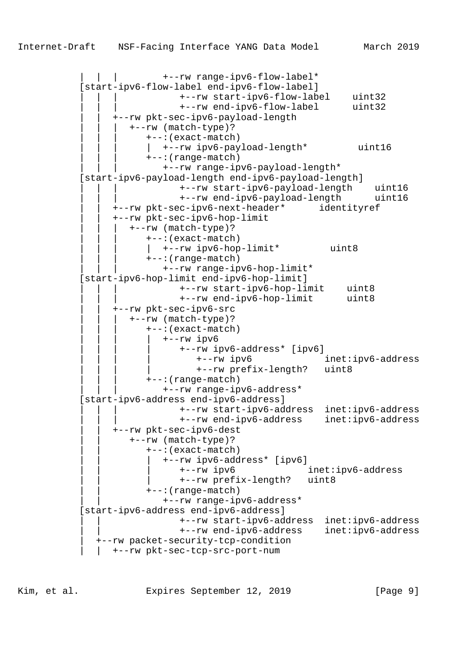| | | +--rw range-ipv6-flow-label\* [start-ipv6-flow-label end-ipv6-flow-label] | | | +--rw start-ipv6-flow-label uint32 | | | +--rw end-ipv6-flow-label uint32 | | +--rw pkt-sec-ipv6-payload-length | | | +--rw (match-type)? | | | +--:(exact-match) | | | | +--rw ipv6-payload-length\* uint16 | | | +--:(range-match) | | | +--rw range-ipv6-payload-length\* [start-ipv6-payload-length end-ipv6-payload-length] | | | +--rw start-ipv6-payload-length uint16 | | | +--rw end-ipv6-payload-length uint16 | | +--rw pkt-sec-ipv6-next-header\* identityref | | +--rw pkt-sec-ipv6-hop-limit | | | +--rw (match-type)? | | | +--:(exact-match) | | | | +--rw ipv6-hop-limit\* uint8 | | | +--:(range-match) | | | +--rw range-ipv6-hop-limit\* [start-ipv6-hop-limit end-ipv6-hop-limit] | | | +--rw start-ipv6-hop-limit uint8 | | | +--rw end-ipv6-hop-limit uint8 | | +--rw pkt-sec-ipv6-src | | | +--rw (match-type)? | | | +--:(exact-match)  $+--rw$  ipv6 | | | | +--rw ipv6-address\* [ipv6] | | | | +--rw ipv6 inet:ipv6-address | | | | +--rw prefix-length? uint8 | | | +--:(range-match) | | | +--rw range-ipv6-address\* [start-ipv6-address end-ipv6-address] | | | +--rw start-ipv6-address inet:ipv6-address | | | +--rw end-ipv6-address inet:ipv6-address | | +--rw pkt-sec-ipv6-dest | | +--rw (match-type)? | | +--:(exact-match) | | | +--rw ipv6-address\* [ipv6] | | | +--rw ipv6 inet:ipv6-address | | | +--rw prefix-length? uint8 | | +--:(range-match) | | +--rw range-ipv6-address\* [start-ipv6-address end-ipv6-address] | | +--rw start-ipv6-address inet:ipv6-address | | +--rw end-ipv6-address inet:ipv6-address | +--rw packet-security-tcp-condition | | +--rw pkt-sec-tcp-src-port-num

Kim, et al. Expires September 12, 2019 [Page 9]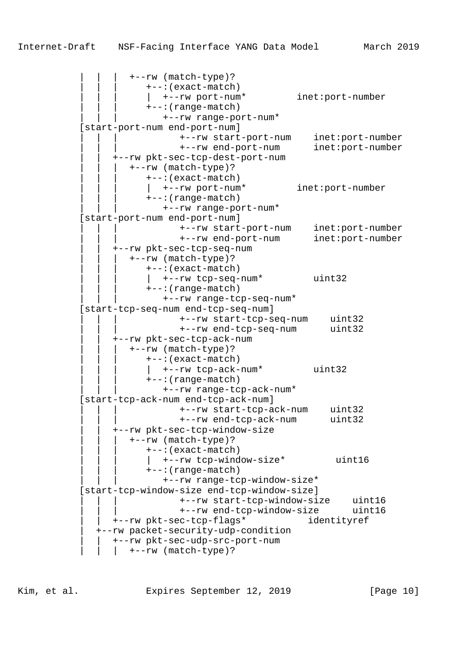| | | +--rw (match-type)? | | | +--:(exact-match) | | | | +--rw port-num\* inet:port-number | | | +--:(range-match) | | | +--rw range-port-num\* [start-port-num end-port-num] | | | +--rw start-port-num inet:port-number | | | +--rw end-port-num inet:port-number | | +--rw pkt-sec-tcp-dest-port-num | | | +--rw (match-type)? | | | +--:(exact-match) | | | | +--rw port-num\* inet:port-number | | | +--:(range-match) | | | +--rw range-port-num\* [start-port-num end-port-num] | | | +--rw start-port-num inet:port-number | | | +--rw end-port-num inet:port-number | | +--rw pkt-sec-tcp-seq-num | | | +--rw (match-type)? | | | +--:(exact-match) | | | | +--rw tcp-seq-num\* uint32 | | | +--:(range-match) | | | +--rw range-tcp-seq-num\* [start-tcp-seq-num end-tcp-seq-num] | | | +--rw start-tcp-seq-num uint32 | | | +--rw end-tcp-seq-num uint32 | | +--rw pkt-sec-tcp-ack-num | | | +--rw (match-type)? | | | +--:(exact-match) |  $+--rw \text{tcp-ack-num*}$  uint32 | | | +--:(range-match) | | | +--rw range-tcp-ack-num\* [start-tcp-ack-num end-tcp-ack-num] | | | +--rw start-tcp-ack-num uint32 | | | +--rw end-tcp-ack-num uint32 | | +--rw pkt-sec-tcp-window-size | | | +--rw (match-type)? | | | +--:(exact-match) |  $+-rw \text{tcp-window-size*}$  uint16 | | | +--:(range-match) | | | +--rw range-tcp-window-size\* [start-tcp-window-size end-tcp-window-size] | | | +--rw start-tcp-window-size uint16 | | | +--rw end-tcp-window-size uint16 | | +--rw pkt-sec-tcp-flags\* identityref | +--rw packet-security-udp-condition | | +--rw pkt-sec-udp-src-port-num  $|$  +--rw (match-type)?

Kim, et al. **Expires September 12, 2019** [Page 10]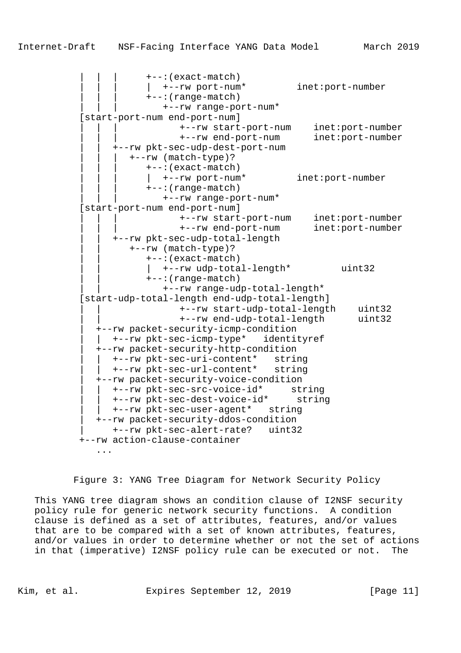| | | +--:(exact-match) | | | | +--rw port-num\* inet:port-number | | | +--:(range-match) | | | +--rw range-port-num\* [start-port-num end-port-num] | | | +--rw start-port-num inet:port-number | | | +--rw end-port-num inet:port-number | | +--rw pkt-sec-udp-dest-port-num | | | +--rw (match-type)? | | | +--:(exact-match) |  $+--rw$  port-num\* inet: port-number | | | +--:(range-match) | | | +--rw range-port-num\* [start-port-num end-port-num] | | | +--rw start-port-num inet:port-number | | | +--rw end-port-num inet:port-number | | +--rw pkt-sec-udp-total-length | | +--rw (match-type)? | | +--:(exact-match) | | | +--rw udp-total-length\* uint32 | | +--:(range-match) | | +--rw range-udp-total-length\* [start-udp-total-length end-udp-total-length] | | +--rw start-udp-total-length uint32 | | +--rw end-udp-total-length uint32 | +--rw packet-security-icmp-condition | | +--rw pkt-sec-icmp-type\* identityref | +--rw packet-security-http-condition | | +--rw pkt-sec-uri-content\* string | | +--rw pkt-sec-url-content\* string | +--rw packet-security-voice-condition | | +--rw pkt-sec-src-voice-id\* string | | +--rw pkt-sec-dest-voice-id\* string | | +--rw pkt-sec-user-agent\* string | +--rw packet-security-ddos-condition

> | +--rw pkt-sec-alert-rate? uint32 +--rw action-clause-container ...

Figure 3: YANG Tree Diagram for Network Security Policy

 This YANG tree diagram shows an condition clause of I2NSF security policy rule for generic network security functions. A condition clause is defined as a set of attributes, features, and/or values that are to be compared with a set of known attributes, features, and/or values in order to determine whether or not the set of actions in that (imperative) I2NSF policy rule can be executed or not. The

Kim, et al. Expires September 12, 2019 [Page 11]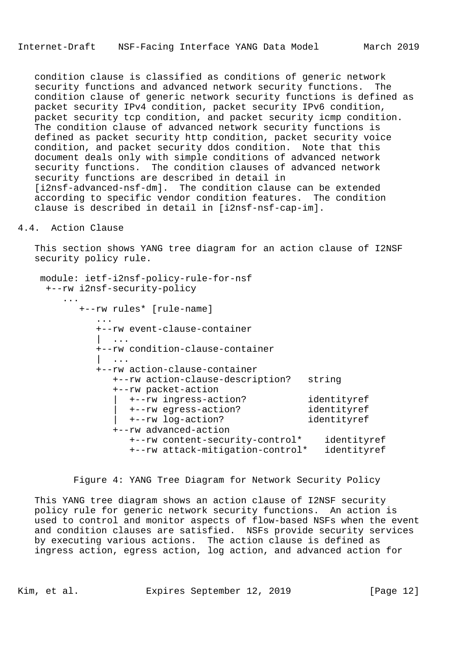condition clause is classified as conditions of generic network security functions and advanced network security functions. The condition clause of generic network security functions is defined as packet security IPv4 condition, packet security IPv6 condition, packet security tcp condition, and packet security icmp condition. The condition clause of advanced network security functions is defined as packet security http condition, packet security voice condition, and packet security ddos condition. Note that this document deals only with simple conditions of advanced network security functions. The condition clauses of advanced network security functions are described in detail in [i2nsf-advanced-nsf-dm]. The condition clause can be extended according to specific vendor condition features. The condition clause is described in detail in [i2nsf-nsf-cap-im].

### 4.4. Action Clause

 This section shows YANG tree diagram for an action clause of I2NSF security policy rule.

```
 module: ietf-i2nsf-policy-rule-for-nsf
     +--rw i2nsf-security-policy
 ...
          +--rw rules* [rule-name]
 ...
             +--rw event-clause-container
| .... | ... | ...
             +--rw condition-clause-container
| .... | ... | ...
             +--rw action-clause-container
               +--rw action-clause-description? string
               +--rw packet-action
 | +--rw ingress-action? identityref
 | +--rw egress-action? identityref
                 | +--rw log-action? identityref
               +--rw advanced-action
                  +--rw content-security-control* identityref
                  +--rw attack-mitigation-control* identityref
```
Figure 4: YANG Tree Diagram for Network Security Policy

 This YANG tree diagram shows an action clause of I2NSF security policy rule for generic network security functions. An action is used to control and monitor aspects of flow-based NSFs when the event and condition clauses are satisfied. NSFs provide security services by executing various actions. The action clause is defined as ingress action, egress action, log action, and advanced action for

Kim, et al. Expires September 12, 2019 [Page 12]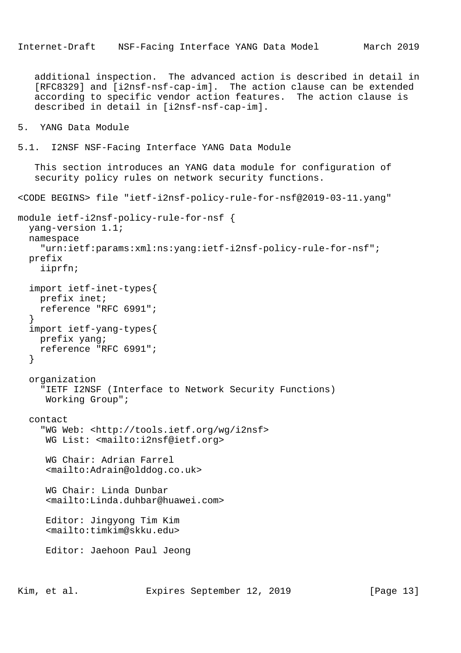additional inspection. The advanced action is described in detail in [RFC8329] and [i2nsf-nsf-cap-im]. The action clause can be extended according to specific vendor action features. The action clause is described in detail in [i2nsf-nsf-cap-im].

```
5. YANG Data Module
```
5.1. I2NSF NSF-Facing Interface YANG Data Module

 This section introduces an YANG data module for configuration of security policy rules on network security functions.

<CODE BEGINS> file "ietf-i2nsf-policy-rule-for-nsf@2019-03-11.yang"

```
module ietf-i2nsf-policy-rule-for-nsf {
   yang-version 1.1;
   namespace
     "urn:ietf:params:xml:ns:yang:ietf-i2nsf-policy-rule-for-nsf";
   prefix
     iiprfn;
   import ietf-inet-types{
     prefix inet;
     reference "RFC 6991";
 }
   import ietf-yang-types{
     prefix yang;
     reference "RFC 6991";
   }
   organization
     "IETF I2NSF (Interface to Network Security Functions)
      Working Group";
   contact
     "WG Web: <http://tools.ietf.org/wg/i2nsf>
      WG List: <mailto:i2nsf@ietf.org>
      WG Chair: Adrian Farrel
      <mailto:Adrain@olddog.co.uk>
      WG Chair: Linda Dunbar
      <mailto:Linda.duhbar@huawei.com>
      Editor: Jingyong Tim Kim
      <mailto:timkim@skku.edu>
      Editor: Jaehoon Paul Jeong
```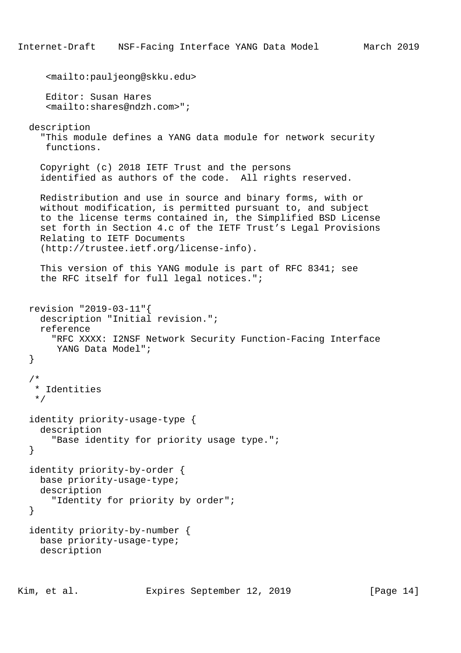```
 <mailto:pauljeong@skku.edu>
    Editor: Susan Hares
    <mailto:shares@ndzh.com>";
 description
   "This module defines a YANG data module for network security
    functions.
   Copyright (c) 2018 IETF Trust and the persons
   identified as authors of the code. All rights reserved.
   Redistribution and use in source and binary forms, with or
   without modification, is permitted pursuant to, and subject
   to the license terms contained in, the Simplified BSD License
   set forth in Section 4.c of the IETF Trust's Legal Provisions
   Relating to IETF Documents
   (http://trustee.ietf.org/license-info).
   This version of this YANG module is part of RFC 8341; see
   the RFC itself for full legal notices.";
 revision "2019-03-11"{
   description "Initial revision.";
   reference
     "RFC XXXX: I2NSF Network Security Function-Facing Interface
     YANG Data Model";
 }
 /*
  * Identities
  */
 identity priority-usage-type {
   description
     "Base identity for priority usage type.";
 }
 identity priority-by-order {
  base priority-usage-type;
  description
    "Identity for priority by order";
 }
 identity priority-by-number {
   base priority-usage-type;
   description
```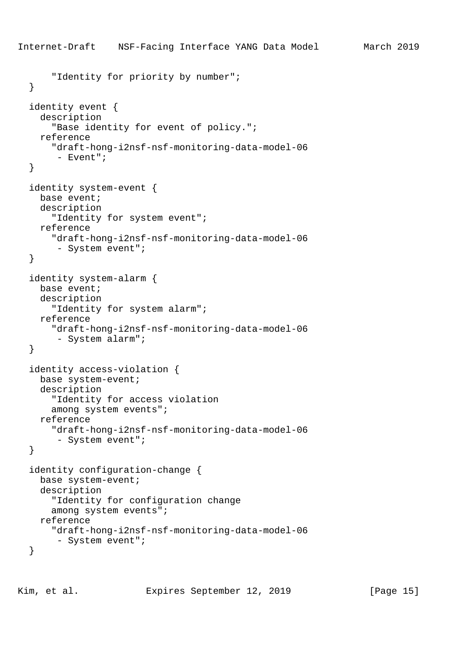```
Internet-Draft NSF-Facing Interface YANG Data Model March 2019
       "Identity for priority by number";
   }
   identity event {
     description
       "Base identity for event of policy.";
     reference
       "draft-hong-i2nsf-nsf-monitoring-data-model-06
        - Event";
   }
   identity system-event {
    base event;
     description
       "Identity for system event";
     reference
       "draft-hong-i2nsf-nsf-monitoring-data-model-06
        - System event";
   }
   identity system-alarm {
     base event;
     description
       "Identity for system alarm";
     reference
       "draft-hong-i2nsf-nsf-monitoring-data-model-06
        - System alarm";
   }
   identity access-violation {
     base system-event;
     description
       "Identity for access violation
       among system events";
     reference
       "draft-hong-i2nsf-nsf-monitoring-data-model-06
        - System event";
   }
   identity configuration-change {
     base system-event;
     description
       "Identity for configuration change
       among system events";
     reference
       "draft-hong-i2nsf-nsf-monitoring-data-model-06
        - System event";
   }
```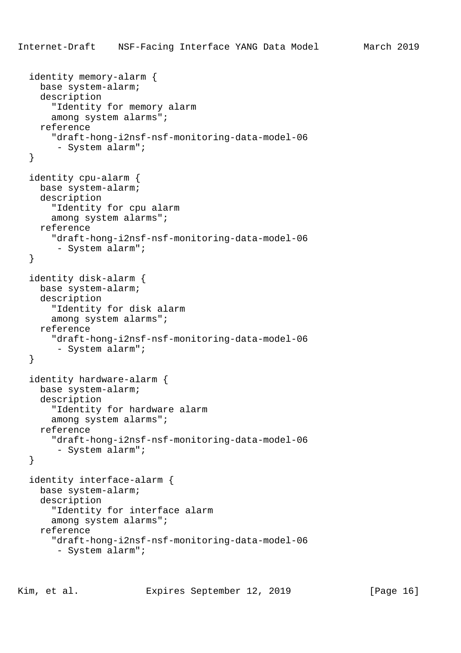```
 identity memory-alarm {
   base system-alarm;
   description
     "Identity for memory alarm
     among system alarms";
   reference
     "draft-hong-i2nsf-nsf-monitoring-data-model-06
      - System alarm";
 }
 identity cpu-alarm {
   base system-alarm;
   description
     "Identity for cpu alarm
     among system alarms";
   reference
     "draft-hong-i2nsf-nsf-monitoring-data-model-06
      - System alarm";
 }
 identity disk-alarm {
   base system-alarm;
   description
     "Identity for disk alarm
     among system alarms";
   reference
     "draft-hong-i2nsf-nsf-monitoring-data-model-06
      - System alarm";
 }
 identity hardware-alarm {
   base system-alarm;
   description
     "Identity for hardware alarm
     among system alarms";
   reference
     "draft-hong-i2nsf-nsf-monitoring-data-model-06
      - System alarm";
 }
 identity interface-alarm {
   base system-alarm;
   description
     "Identity for interface alarm
     among system alarms";
   reference
     "draft-hong-i2nsf-nsf-monitoring-data-model-06
      - System alarm";
```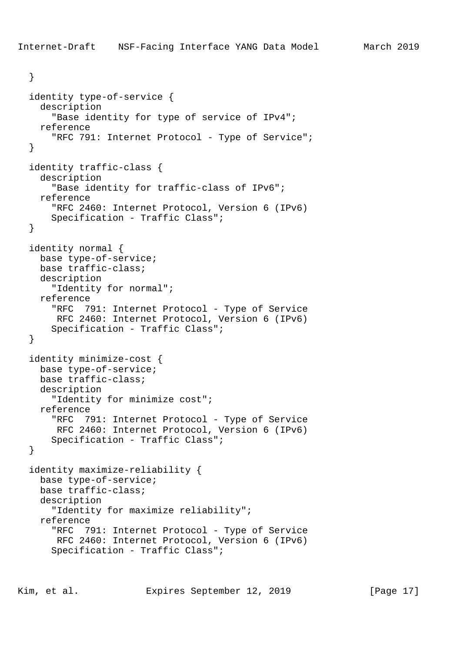```
 }
 identity type-of-service {
  description
     "Base identity for type of service of IPv4";
  reference
     "RFC 791: Internet Protocol - Type of Service";
 }
 identity traffic-class {
  description
     "Base identity for traffic-class of IPv6";
  reference
     "RFC 2460: Internet Protocol, Version 6 (IPv6)
     Specification - Traffic Class";
 }
 identity normal {
  base type-of-service;
  base traffic-class;
  description
     "Identity for normal";
  reference
     "RFC 791: Internet Protocol - Type of Service
     RFC 2460: Internet Protocol, Version 6 (IPv6)
     Specification - Traffic Class";
 }
 identity minimize-cost {
  base type-of-service;
  base traffic-class;
  description
     "Identity for minimize cost";
  reference
     "RFC 791: Internet Protocol - Type of Service
     RFC 2460: Internet Protocol, Version 6 (IPv6)
     Specification - Traffic Class";
 }
 identity maximize-reliability {
  base type-of-service;
  base traffic-class;
  description
     "Identity for maximize reliability";
  reference
     "RFC 791: Internet Protocol - Type of Service
     RFC 2460: Internet Protocol, Version 6 (IPv6)
     Specification - Traffic Class";
```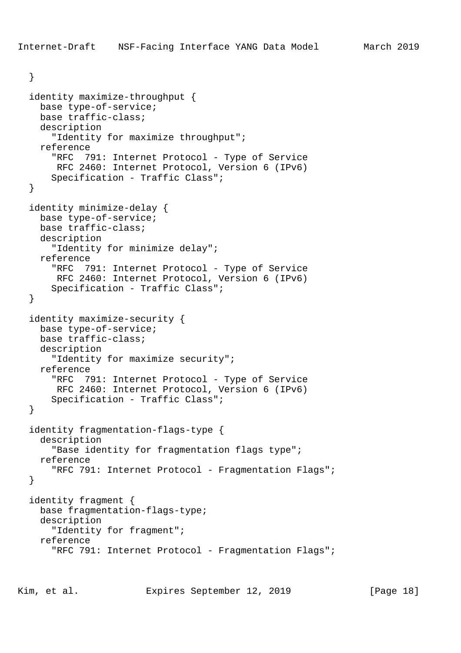}

```
 identity maximize-throughput {
  base type-of-service;
  base traffic-class;
   description
     "Identity for maximize throughput";
  reference
     "RFC 791: Internet Protocol - Type of Service
     RFC 2460: Internet Protocol, Version 6 (IPv6)
     Specification - Traffic Class";
 }
 identity minimize-delay {
  base type-of-service;
  base traffic-class;
  description
     "Identity for minimize delay";
   reference
     "RFC 791: Internet Protocol - Type of Service
     RFC 2460: Internet Protocol, Version 6 (IPv6)
     Specification - Traffic Class";
 }
 identity maximize-security {
  base type-of-service;
  base traffic-class;
  description
     "Identity for maximize security";
   reference
     "RFC 791: Internet Protocol - Type of Service
     RFC 2460: Internet Protocol, Version 6 (IPv6)
     Specification - Traffic Class";
 }
 identity fragmentation-flags-type {
  description
     "Base identity for fragmentation flags type";
  reference
     "RFC 791: Internet Protocol - Fragmentation Flags";
 }
 identity fragment {
  base fragmentation-flags-type;
  description
     "Identity for fragment";
   reference
     "RFC 791: Internet Protocol - Fragmentation Flags";
```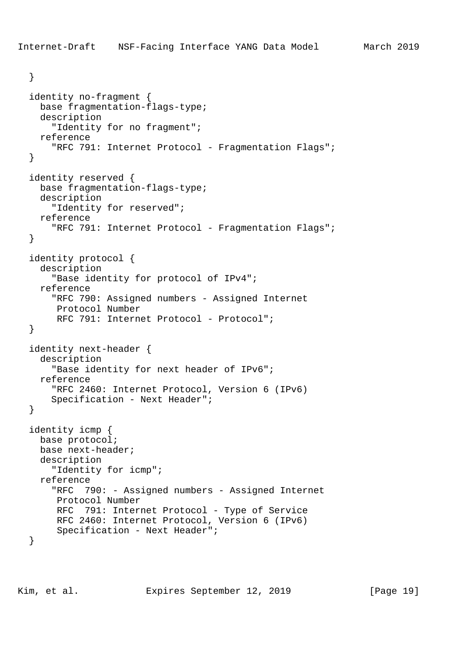```
 }
 identity no-fragment {
  base fragmentation-flags-type;
  description
     "Identity for no fragment";
  reference
     "RFC 791: Internet Protocol - Fragmentation Flags";
 }
 identity reserved {
  base fragmentation-flags-type;
  description
     "Identity for reserved";
  reference
     "RFC 791: Internet Protocol - Fragmentation Flags";
 }
 identity protocol {
  description
     "Base identity for protocol of IPv4";
   reference
     "RFC 790: Assigned numbers - Assigned Internet
      Protocol Number
      RFC 791: Internet Protocol - Protocol";
 }
 identity next-header {
  description
     "Base identity for next header of IPv6";
  reference
     "RFC 2460: Internet Protocol, Version 6 (IPv6)
     Specification - Next Header";
 }
 identity icmp {
  base protocol;
  base next-header;
  description
     "Identity for icmp";
   reference
     "RFC 790: - Assigned numbers - Assigned Internet
      Protocol Number
      RFC 791: Internet Protocol - Type of Service
      RFC 2460: Internet Protocol, Version 6 (IPv6)
      Specification - Next Header";
 }
```
Kim, et al. Expires September 12, 2019 [Page 19]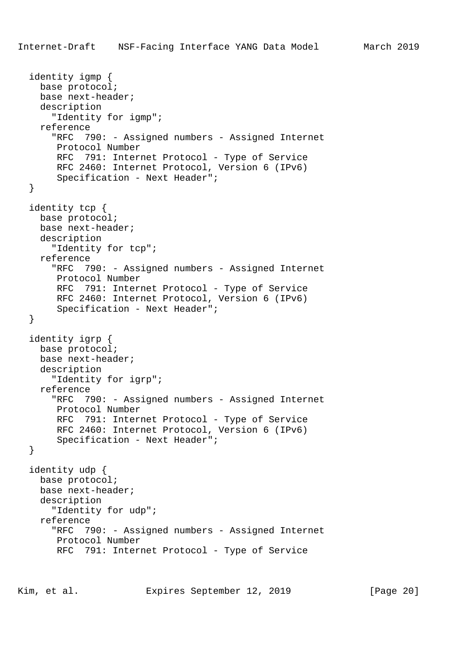```
 identity igmp {
  base protocol;
  base next-header;
  description
     "Identity for igmp";
  reference
     "RFC 790: - Assigned numbers - Assigned Internet
     Protocol Number
     RFC 791: Internet Protocol - Type of Service
      RFC 2460: Internet Protocol, Version 6 (IPv6)
      Specification - Next Header";
 }
 identity tcp {
  base protocol;
  base next-header;
  description
     "Identity for tcp";
   reference
     "RFC 790: - Assigned numbers - Assigned Internet
     Protocol Number
      RFC 791: Internet Protocol - Type of Service
     RFC 2460: Internet Protocol, Version 6 (IPv6)
      Specification - Next Header";
 }
 identity igrp {
  base protocol;
  base next-header;
  description
     "Identity for igrp";
  reference
     "RFC 790: - Assigned numbers - Assigned Internet
      Protocol Number
      RFC 791: Internet Protocol - Type of Service
      RFC 2460: Internet Protocol, Version 6 (IPv6)
      Specification - Next Header";
 }
 identity udp {
  base protocol;
  base next-header;
  description
     "Identity for udp";
   reference
     "RFC 790: - Assigned numbers - Assigned Internet
     Protocol Number
      RFC 791: Internet Protocol - Type of Service
```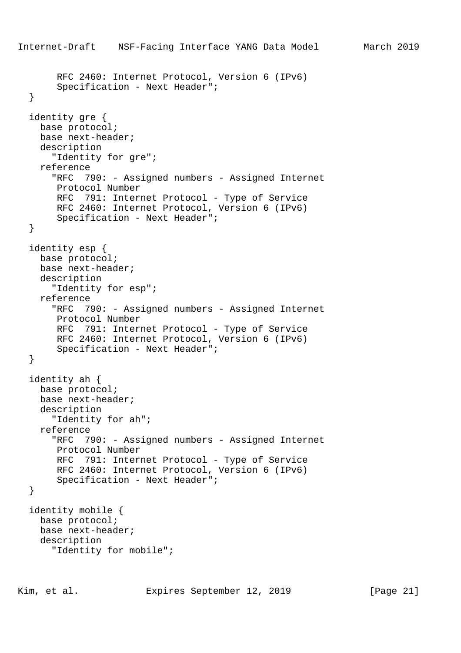```
Internet-Draft NSF-Facing Interface YANG Data Model March 2019
        RFC 2460: Internet Protocol, Version 6 (IPv6)
        Specification - Next Header";
   }
   identity gre {
    base protocol;
    base next-header;
    description
       "Identity for gre";
     reference
       "RFC 790: - Assigned numbers - Assigned Internet
       Protocol Number
       RFC 791: Internet Protocol - Type of Service
        RFC 2460: Internet Protocol, Version 6 (IPv6)
        Specification - Next Header";
   }
   identity esp {
    base protocol;
    base next-header;
    description
       "Identity for esp";
    reference
       "RFC 790: - Assigned numbers - Assigned Internet
       Protocol Number
       RFC 791: Internet Protocol - Type of Service
        RFC 2460: Internet Protocol, Version 6 (IPv6)
        Specification - Next Header";
   }
   identity ah {
    base protocol;
    base next-header;
    description
       "Identity for ah";
     reference
       "RFC 790: - Assigned numbers - Assigned Internet
       Protocol Number
       RFC 791: Internet Protocol - Type of Service
       RFC 2460: Internet Protocol, Version 6 (IPv6)
        Specification - Next Header";
   }
   identity mobile {
    base protocol;
    base next-header;
    description
       "Identity for mobile";
```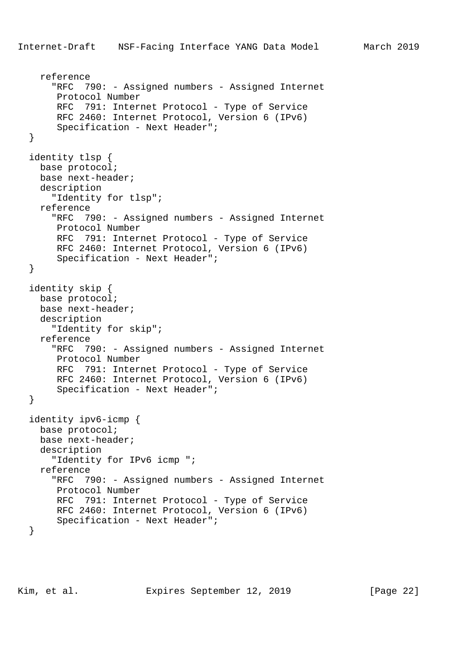```
 reference
     "RFC 790: - Assigned numbers - Assigned Internet
     Protocol Number
     RFC 791: Internet Protocol - Type of Service
     RFC 2460: Internet Protocol, Version 6 (IPv6)
      Specification - Next Header";
 }
 identity tlsp {
  base protocol;
  base next-header;
  description
     "Identity for tlsp";
  reference
     "RFC 790: - Assigned numbers - Assigned Internet
     Protocol Number
     RFC 791: Internet Protocol - Type of Service
     RFC 2460: Internet Protocol, Version 6 (IPv6)
      Specification - Next Header";
 }
 identity skip {
  base protocol;
  base next-header;
  description
     "Identity for skip";
  reference
     "RFC 790: - Assigned numbers - Assigned Internet
     Protocol Number
     RFC 791: Internet Protocol - Type of Service
     RFC 2460: Internet Protocol, Version 6 (IPv6)
      Specification - Next Header";
 }
 identity ipv6-icmp {
  base protocol;
  base next-header;
  description
     "Identity for IPv6 icmp ";
  reference
     "RFC 790: - Assigned numbers - Assigned Internet
     Protocol Number
     RFC 791: Internet Protocol - Type of Service
     RFC 2460: Internet Protocol, Version 6 (IPv6)
      Specification - Next Header";
 }
```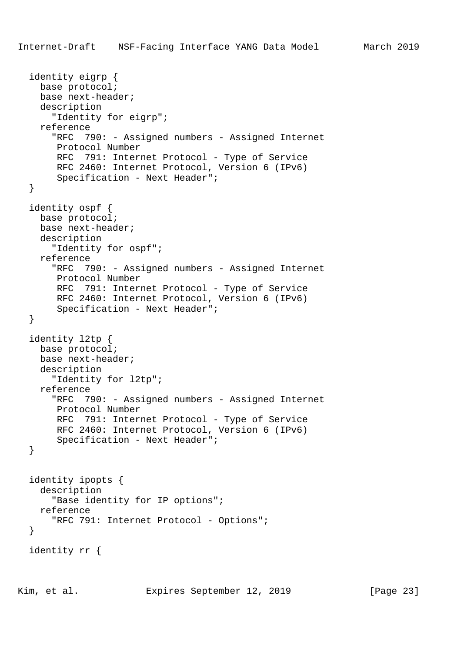```
 identity eigrp {
   base protocol;
   base next-header;
   description
     "Identity for eigrp";
   reference
     "RFC 790: - Assigned numbers - Assigned Internet
      Protocol Number
      RFC 791: Internet Protocol - Type of Service
      RFC 2460: Internet Protocol, Version 6 (IPv6)
      Specification - Next Header";
 }
 identity ospf {
  base protocol;
   base next-header;
   description
     "Identity for ospf";
   reference
     "RFC 790: - Assigned numbers - Assigned Internet
      Protocol Number
      RFC 791: Internet Protocol - Type of Service
      RFC 2460: Internet Protocol, Version 6 (IPv6)
      Specification - Next Header";
 }
 identity l2tp {
   base protocol;
   base next-header;
   description
     "Identity for l2tp";
   reference
     "RFC 790: - Assigned numbers - Assigned Internet
      Protocol Number
      RFC 791: Internet Protocol - Type of Service
      RFC 2460: Internet Protocol, Version 6 (IPv6)
      Specification - Next Header";
 }
 identity ipopts {
   description
     "Base identity for IP options";
   reference
    "RFC 791: Internet Protocol - Options";
 }
 identity rr {
```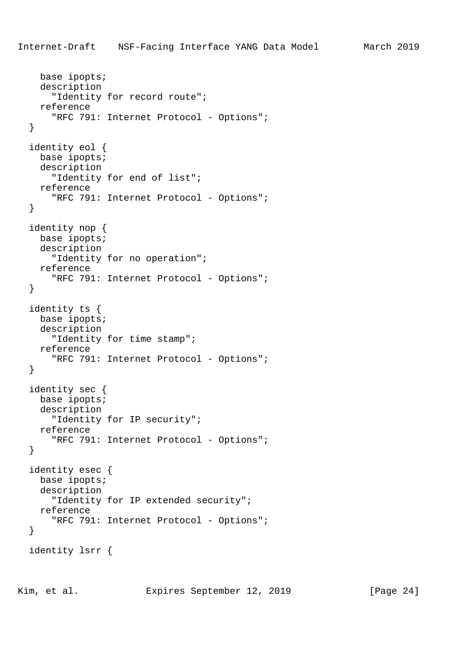```
 base ipopts;
   description
     "Identity for record route";
   reference
     "RFC 791: Internet Protocol - Options";
 }
 identity eol {
  base ipopts;
   description
     "Identity for end of list";
   reference
     "RFC 791: Internet Protocol - Options";
 }
 identity nop {
   base ipopts;
  description
     "Identity for no operation";
  reference
    "RFC 791: Internet Protocol - Options";
 }
 identity ts {
  base ipopts;
  description
     "Identity for time stamp";
   reference
    "RFC 791: Internet Protocol - Options";
 }
 identity sec {
  base ipopts;
  description
     "Identity for IP security";
   reference
    "RFC 791: Internet Protocol - Options";
 }
 identity esec {
  base ipopts;
   description
     "Identity for IP extended security";
   reference
    "RFC 791: Internet Protocol - Options";
 }
 identity lsrr {
```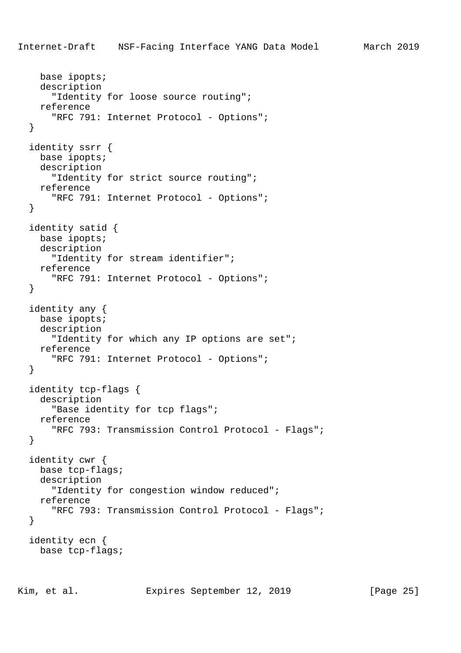```
 base ipopts;
   description
     "Identity for loose source routing";
   reference
     "RFC 791: Internet Protocol - Options";
 }
 identity ssrr {
  base ipopts;
   description
     "Identity for strict source routing";
   reference
     "RFC 791: Internet Protocol - Options";
 }
 identity satid {
   base ipopts;
   description
     "Identity for stream identifier";
  reference
    "RFC 791: Internet Protocol - Options";
 }
 identity any {
  base ipopts;
  description
    "Identity for which any IP options are set";
   reference
     "RFC 791: Internet Protocol - Options";
 }
 identity tcp-flags {
   description
     "Base identity for tcp flags";
   reference
     "RFC 793: Transmission Control Protocol - Flags";
 }
 identity cwr {
  base tcp-flags;
   description
     "Identity for congestion window reduced";
   reference
     "RFC 793: Transmission Control Protocol - Flags";
 }
 identity ecn {
  base tcp-flags;
```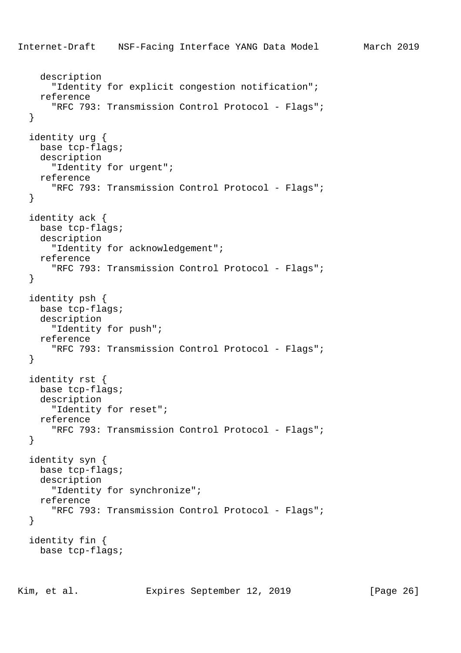```
Internet-Draft NSF-Facing Interface YANG Data Model March 2019
     description
       "Identity for explicit congestion notification";
     reference
       "RFC 793: Transmission Control Protocol - Flags";
   }
   identity urg {
     base tcp-flags;
     description
       "Identity for urgent";
     reference
       "RFC 793: Transmission Control Protocol - Flags";
   }
   identity ack {
     base tcp-flags;
     description
       "Identity for acknowledgement";
     reference
       "RFC 793: Transmission Control Protocol - Flags";
   }
   identity psh {
     base tcp-flags;
     description
       "Identity for push";
     reference
       "RFC 793: Transmission Control Protocol - Flags";
   }
   identity rst {
     base tcp-flags;
     description
       "Identity for reset";
     reference
       "RFC 793: Transmission Control Protocol - Flags";
   }
   identity syn {
     base tcp-flags;
     description
       "Identity for synchronize";
     reference
       "RFC 793: Transmission Control Protocol - Flags";
   }
   identity fin {
     base tcp-flags;
```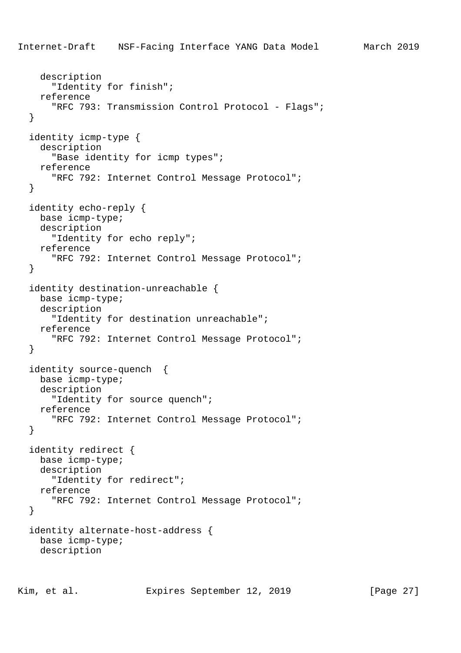```
 description
     "Identity for finish";
   reference
     "RFC 793: Transmission Control Protocol - Flags";
 }
 identity icmp-type {
   description
     "Base identity for icmp types";
   reference
     "RFC 792: Internet Control Message Protocol";
 }
 identity echo-reply {
  base icmp-type;
   description
     "Identity for echo reply";
   reference
     "RFC 792: Internet Control Message Protocol";
 }
 identity destination-unreachable {
   base icmp-type;
   description
     "Identity for destination unreachable";
   reference
     "RFC 792: Internet Control Message Protocol";
 }
 identity source-quench {
   base icmp-type;
   description
     "Identity for source quench";
   reference
     "RFC 792: Internet Control Message Protocol";
 }
 identity redirect {
  base icmp-type;
   description
     "Identity for redirect";
   reference
     "RFC 792: Internet Control Message Protocol";
 }
 identity alternate-host-address {
  base icmp-type;
   description
```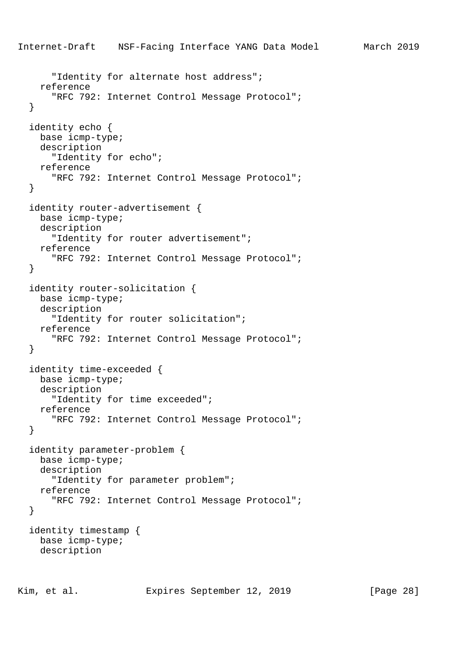"Identity for alternate host address"; reference "RFC 792: Internet Control Message Protocol"; } identity echo { base icmp-type; description "Identity for echo"; reference "RFC 792: Internet Control Message Protocol"; } identity router-advertisement { base icmp-type; description "Identity for router advertisement"; reference "RFC 792: Internet Control Message Protocol"; } identity router-solicitation { base icmp-type; description "Identity for router solicitation"; reference "RFC 792: Internet Control Message Protocol"; } identity time-exceeded { base icmp-type; description "Identity for time exceeded"; reference "RFC 792: Internet Control Message Protocol"; } identity parameter-problem { base icmp-type; description "Identity for parameter problem"; reference "RFC 792: Internet Control Message Protocol"; } identity timestamp { base icmp-type; description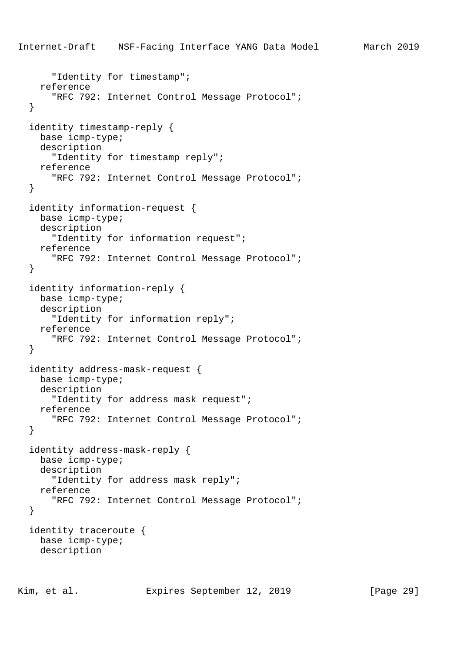```
 "Identity for timestamp";
   reference
     "RFC 792: Internet Control Message Protocol";
 }
 identity timestamp-reply {
  base icmp-type;
   description
     "Identity for timestamp reply";
   reference
     "RFC 792: Internet Control Message Protocol";
 }
 identity information-request {
  base icmp-type;
   description
     "Identity for information request";
   reference
     "RFC 792: Internet Control Message Protocol";
 }
 identity information-reply {
   base icmp-type;
   description
     "Identity for information reply";
   reference
     "RFC 792: Internet Control Message Protocol";
 }
 identity address-mask-request {
   base icmp-type;
   description
     "Identity for address mask request";
   reference
     "RFC 792: Internet Control Message Protocol";
 }
 identity address-mask-reply {
  base icmp-type;
   description
     "Identity for address mask reply";
   reference
     "RFC 792: Internet Control Message Protocol";
 }
 identity traceroute {
  base icmp-type;
   description
```
Internet-Draft NSF-Facing Interface YANG Data Model March 2019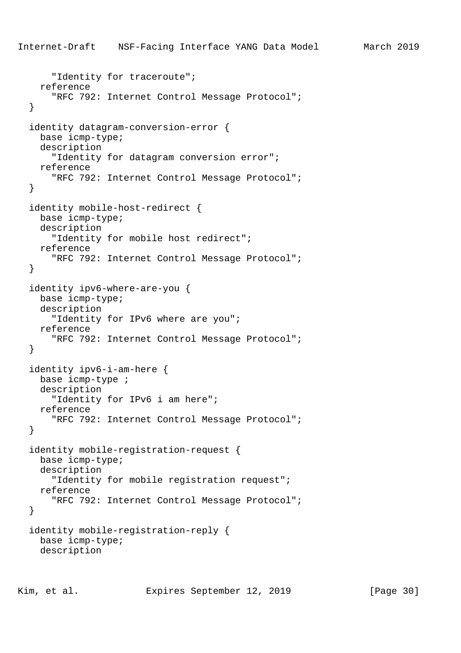```
Internet-Draft NSF-Facing Interface YANG Data Model March 2019
       "Identity for traceroute";
     reference
       "RFC 792: Internet Control Message Protocol";
   }
   identity datagram-conversion-error {
     base icmp-type;
     description
       "Identity for datagram conversion error";
     reference
       "RFC 792: Internet Control Message Protocol";
   }
   identity mobile-host-redirect {
     base icmp-type;
     description
       "Identity for mobile host redirect";
     reference
       "RFC 792: Internet Control Message Protocol";
   }
   identity ipv6-where-are-you {
     base icmp-type;
     description
       "Identity for IPv6 where are you";
     reference
       "RFC 792: Internet Control Message Protocol";
   }
   identity ipv6-i-am-here {
     base icmp-type ;
     description
       "Identity for IPv6 i am here";
     reference
       "RFC 792: Internet Control Message Protocol";
   }
   identity mobile-registration-request {
     base icmp-type;
     description
       "Identity for mobile registration request";
     reference
       "RFC 792: Internet Control Message Protocol";
   }
   identity mobile-registration-reply {
     base icmp-type;
     description
```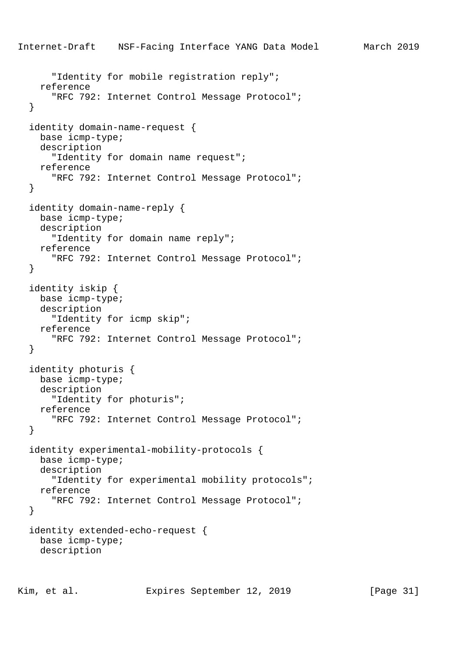```
Internet-Draft NSF-Facing Interface YANG Data Model March 2019
       "Identity for mobile registration reply";
     reference
       "RFC 792: Internet Control Message Protocol";
   }
   identity domain-name-request {
     base icmp-type;
     description
       "Identity for domain name request";
     reference
       "RFC 792: Internet Control Message Protocol";
   }
   identity domain-name-reply {
     base icmp-type;
     description
       "Identity for domain name reply";
     reference
       "RFC 792: Internet Control Message Protocol";
   }
   identity iskip {
     base icmp-type;
     description
       "Identity for icmp skip";
     reference
       "RFC 792: Internet Control Message Protocol";
   }
   identity photuris {
     base icmp-type;
     description
       "Identity for photuris";
     reference
       "RFC 792: Internet Control Message Protocol";
   }
   identity experimental-mobility-protocols {
     base icmp-type;
     description
       "Identity for experimental mobility protocols";
     reference
       "RFC 792: Internet Control Message Protocol";
   }
   identity extended-echo-request {
     base icmp-type;
     description
```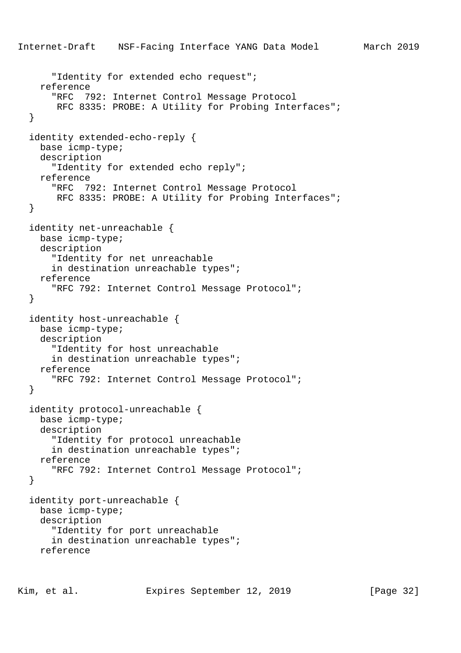```
Internet-Draft NSF-Facing Interface YANG Data Model March 2019
       "Identity for extended echo request";
     reference
       "RFC 792: Internet Control Message Protocol
       RFC 8335: PROBE: A Utility for Probing Interfaces";
   }
  identity extended-echo-reply {
    base icmp-type;
    description
       "Identity for extended echo reply";
     reference
       "RFC 792: Internet Control Message Protocol
       RFC 8335: PROBE: A Utility for Probing Interfaces";
   }
   identity net-unreachable {
    base icmp-type;
    description
       "Identity for net unreachable
       in destination unreachable types";
     reference
       "RFC 792: Internet Control Message Protocol";
   }
   identity host-unreachable {
    base icmp-type;
    description
       "Identity for host unreachable
       in destination unreachable types";
     reference
       "RFC 792: Internet Control Message Protocol";
   }
   identity protocol-unreachable {
    base icmp-type;
    description
       "Identity for protocol unreachable
       in destination unreachable types";
    reference
       "RFC 792: Internet Control Message Protocol";
   }
   identity port-unreachable {
    base icmp-type;
    description
       "Identity for port unreachable
       in destination unreachable types";
     reference
```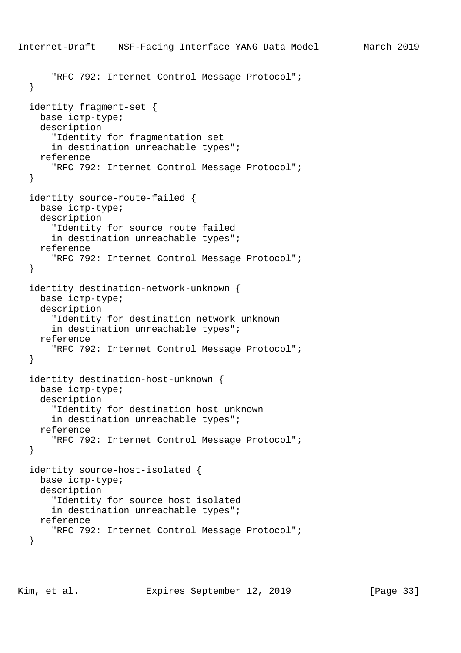```
Internet-Draft NSF-Facing Interface YANG Data Model March 2019
       "RFC 792: Internet Control Message Protocol";
   }
   identity fragment-set {
     base icmp-type;
     description
       "Identity for fragmentation set
       in destination unreachable types";
     reference
       "RFC 792: Internet Control Message Protocol";
   }
   identity source-route-failed {
     base icmp-type;
     description
       "Identity for source route failed
       in destination unreachable types";
     reference
       "RFC 792: Internet Control Message Protocol";
   }
   identity destination-network-unknown {
     base icmp-type;
     description
       "Identity for destination network unknown
       in destination unreachable types";
     reference
       "RFC 792: Internet Control Message Protocol";
   }
   identity destination-host-unknown {
     base icmp-type;
     description
       "Identity for destination host unknown
       in destination unreachable types";
     reference
       "RFC 792: Internet Control Message Protocol";
   }
   identity source-host-isolated {
     base icmp-type;
     description
       "Identity for source host isolated
       in destination unreachable types";
     reference
       "RFC 792: Internet Control Message Protocol";
   }
```
Kim, et al. Expires September 12, 2019 [Page 33]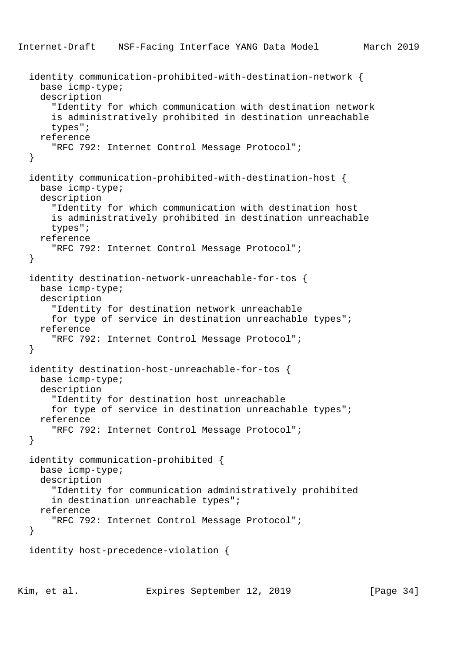```
 identity communication-prohibited-with-destination-network {
  base icmp-type;
  description
     "Identity for which communication with destination network
     is administratively prohibited in destination unreachable
     types";
  reference
     "RFC 792: Internet Control Message Protocol";
 }
 identity communication-prohibited-with-destination-host {
  base icmp-type;
  description
     "Identity for which communication with destination host
     is administratively prohibited in destination unreachable
     types";
   reference
     "RFC 792: Internet Control Message Protocol";
 }
 identity destination-network-unreachable-for-tos {
  base icmp-type;
  description
     "Identity for destination network unreachable
     for type of service in destination unreachable types";
  reference
     "RFC 792: Internet Control Message Protocol";
 }
 identity destination-host-unreachable-for-tos {
  base icmp-type;
  description
     "Identity for destination host unreachable
     for type of service in destination unreachable types";
   reference
     "RFC 792: Internet Control Message Protocol";
 }
 identity communication-prohibited {
  base icmp-type;
  description
     "Identity for communication administratively prohibited
     in destination unreachable types";
   reference
     "RFC 792: Internet Control Message Protocol";
 }
 identity host-precedence-violation {
```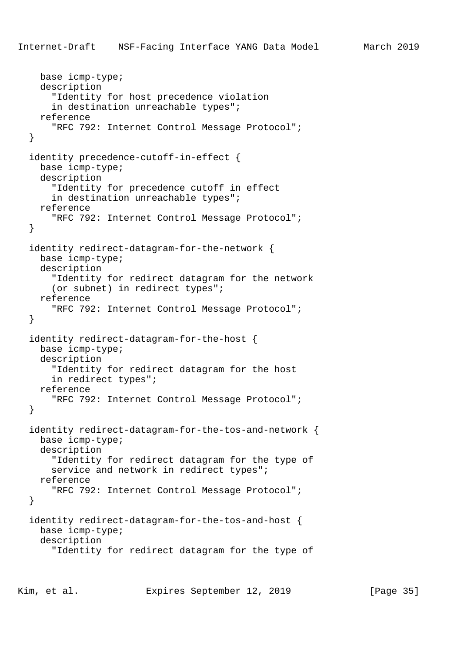```
 base icmp-type;
   description
     "Identity for host precedence violation
     in destination unreachable types";
   reference
     "RFC 792: Internet Control Message Protocol";
 }
 identity precedence-cutoff-in-effect {
   base icmp-type;
   description
     "Identity for precedence cutoff in effect
     in destination unreachable types";
   reference
     "RFC 792: Internet Control Message Protocol";
 }
 identity redirect-datagram-for-the-network {
   base icmp-type;
   description
     "Identity for redirect datagram for the network
     (or subnet) in redirect types";
   reference
     "RFC 792: Internet Control Message Protocol";
 }
 identity redirect-datagram-for-the-host {
   base icmp-type;
   description
     "Identity for redirect datagram for the host
     in redirect types";
   reference
     "RFC 792: Internet Control Message Protocol";
 }
 identity redirect-datagram-for-the-tos-and-network {
   base icmp-type;
   description
     "Identity for redirect datagram for the type of
    service and network in redirect types";
   reference
     "RFC 792: Internet Control Message Protocol";
 }
 identity redirect-datagram-for-the-tos-and-host {
   base icmp-type;
   description
     "Identity for redirect datagram for the type of
```
Kim, et al. Expires September 12, 2019 [Page 35]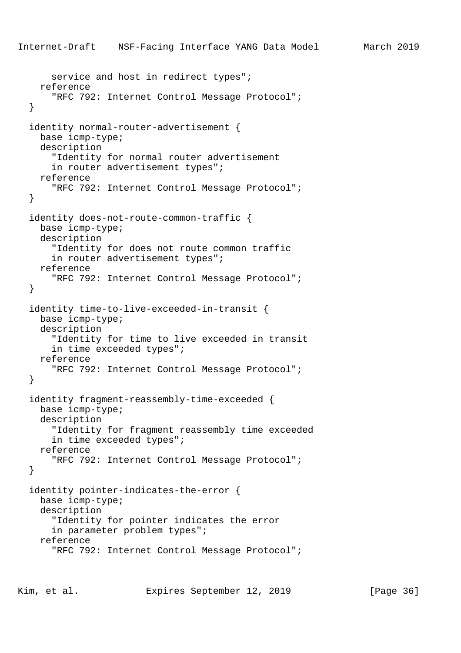```
Internet-Draft NSF-Facing Interface YANG Data Model March 2019
      service and host in redirect types";
     reference
       "RFC 792: Internet Control Message Protocol";
   }
   identity normal-router-advertisement {
     base icmp-type;
     description
       "Identity for normal router advertisement
       in router advertisement types";
     reference
       "RFC 792: Internet Control Message Protocol";
   }
   identity does-not-route-common-traffic {
     base icmp-type;
     description
       "Identity for does not route common traffic
       in router advertisement types";
     reference
       "RFC 792: Internet Control Message Protocol";
   }
   identity time-to-live-exceeded-in-transit {
    base icmp-type;
     description
       "Identity for time to live exceeded in transit
       in time exceeded types";
     reference
       "RFC 792: Internet Control Message Protocol";
   }
   identity fragment-reassembly-time-exceeded {
     base icmp-type;
     description
       "Identity for fragment reassembly time exceeded
       in time exceeded types";
     reference
       "RFC 792: Internet Control Message Protocol";
   }
   identity pointer-indicates-the-error {
     base icmp-type;
     description
       "Identity for pointer indicates the error
       in parameter problem types";
     reference
       "RFC 792: Internet Control Message Protocol";
```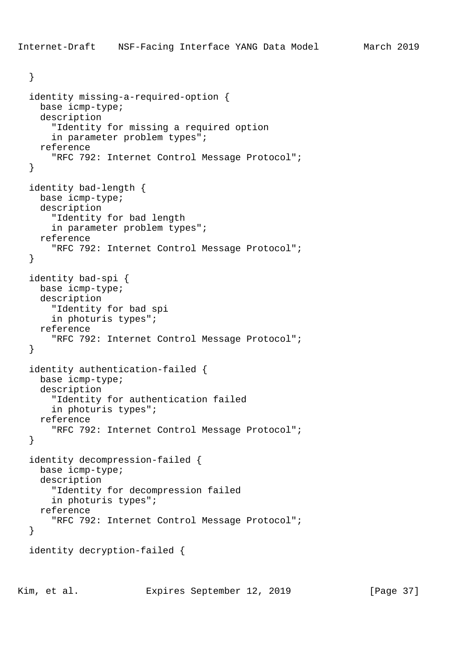```
 }
 identity missing-a-required-option {
   base icmp-type;
   description
     "Identity for missing a required option
     in parameter problem types";
   reference
     "RFC 792: Internet Control Message Protocol";
 }
 identity bad-length {
  base icmp-type;
   description
     "Identity for bad length
     in parameter problem types";
   reference
     "RFC 792: Internet Control Message Protocol";
 }
 identity bad-spi {
   base icmp-type;
   description
     "Identity for bad spi
     in photuris types";
   reference
     "RFC 792: Internet Control Message Protocol";
 }
 identity authentication-failed {
   base icmp-type;
   description
     "Identity for authentication failed
     in photuris types";
   reference
     "RFC 792: Internet Control Message Protocol";
 }
 identity decompression-failed {
  base icmp-type;
   description
     "Identity for decompression failed
     in photuris types";
   reference
     "RFC 792: Internet Control Message Protocol";
 }
 identity decryption-failed {
```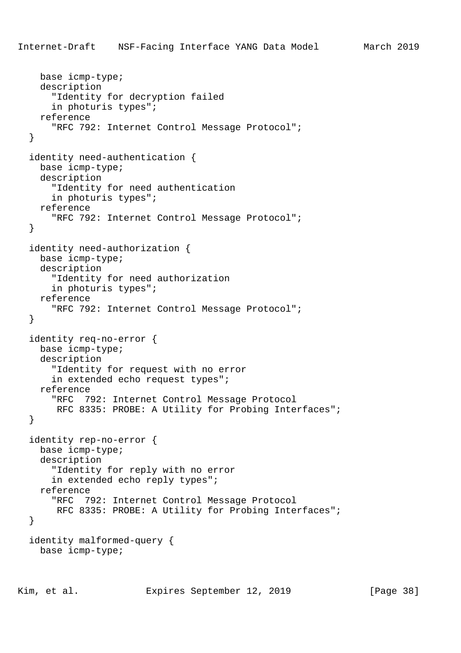```
 base icmp-type;
   description
     "Identity for decryption failed
     in photuris types";
   reference
     "RFC 792: Internet Control Message Protocol";
 }
 identity need-authentication {
   base icmp-type;
   description
     "Identity for need authentication
     in photuris types";
   reference
     "RFC 792: Internet Control Message Protocol";
 }
 identity need-authorization {
  base icmp-type;
   description
     "Identity for need authorization
     in photuris types";
   reference
     "RFC 792: Internet Control Message Protocol";
 }
 identity req-no-error {
   base icmp-type;
   description
     "Identity for request with no error
     in extended echo request types";
   reference
     "RFC 792: Internet Control Message Protocol
      RFC 8335: PROBE: A Utility for Probing Interfaces";
 }
 identity rep-no-error {
  base icmp-type;
   description
     "Identity for reply with no error
     in extended echo reply types";
   reference
     "RFC 792: Internet Control Message Protocol
      RFC 8335: PROBE: A Utility for Probing Interfaces";
 }
 identity malformed-query {
   base icmp-type;
```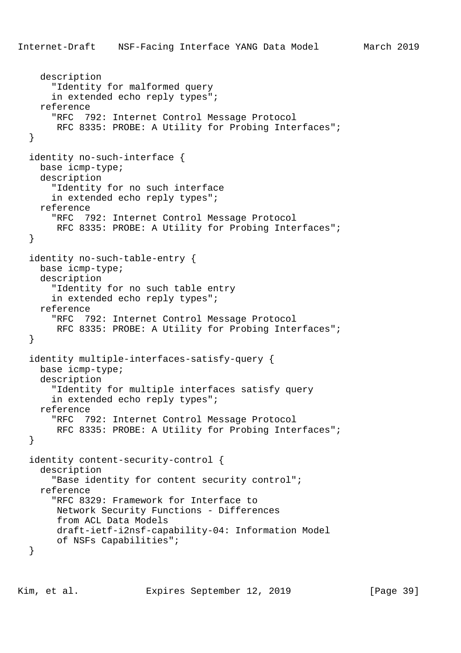```
Internet-Draft NSF-Facing Interface YANG Data Model March 2019
     description
       "Identity for malformed query
       in extended echo reply types";
     reference
       "RFC 792: Internet Control Message Protocol
       RFC 8335: PROBE: A Utility for Probing Interfaces";
   }
  identity no-such-interface {
    base icmp-type;
    description
       "Identity for no such interface
       in extended echo reply types";
     reference
       "RFC 792: Internet Control Message Protocol
      RFC 8335: PROBE: A Utility for Probing Interfaces";
   }
   identity no-such-table-entry {
    base icmp-type;
     description
       "Identity for no such table entry
       in extended echo reply types";
     reference
       "RFC 792: Internet Control Message Protocol
       RFC 8335: PROBE: A Utility for Probing Interfaces";
   }
   identity multiple-interfaces-satisfy-query {
    base icmp-type;
     description
       "Identity for multiple interfaces satisfy query
       in extended echo reply types";
     reference
       "RFC 792: Internet Control Message Protocol
       RFC 8335: PROBE: A Utility for Probing Interfaces";
   }
   identity content-security-control {
    description
       "Base identity for content security control";
     reference
       "RFC 8329: Framework for Interface to
       Network Security Functions - Differences
        from ACL Data Models
       draft-ietf-i2nsf-capability-04: Information Model
       of NSFs Capabilities";
   }
```
Kim, et al. **Expires September 12, 2019** [Page 39]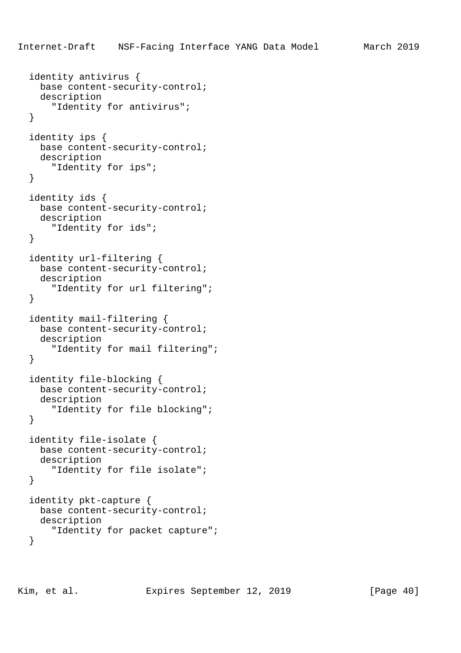```
 identity antivirus {
   base content-security-control;
   description
     "Identity for antivirus";
 }
 identity ips {
  base content-security-control;
   description
     "Identity for ips";
 }
 identity ids {
   base content-security-control;
   description
     "Identity for ids";
 }
 identity url-filtering {
  base content-security-control;
   description
     "Identity for url filtering";
 }
 identity mail-filtering {
  base content-security-control;
   description
     "Identity for mail filtering";
 }
 identity file-blocking {
  base content-security-control;
   description
     "Identity for file blocking";
 }
 identity file-isolate {
  base content-security-control;
   description
     "Identity for file isolate";
 }
 identity pkt-capture {
  base content-security-control;
  description
     "Identity for packet capture";
 }
```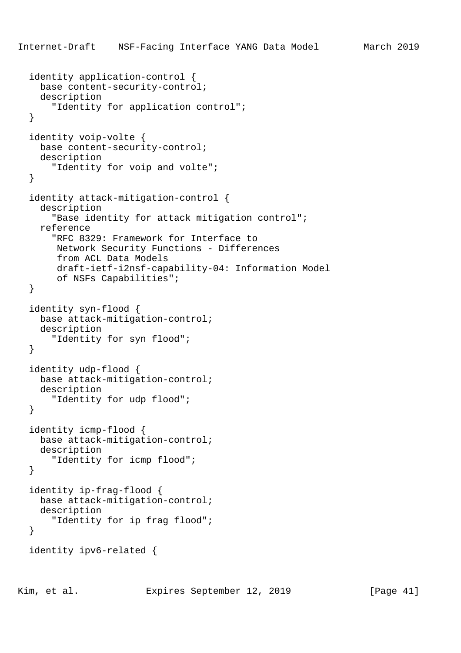```
 identity application-control {
   base content-security-control;
   description
     "Identity for application control";
 }
 identity voip-volte {
   base content-security-control;
   description
     "Identity for voip and volte";
 }
 identity attack-mitigation-control {
   description
     "Base identity for attack mitigation control";
   reference
     "RFC 8329: Framework for Interface to
      Network Security Functions - Differences
      from ACL Data Models
      draft-ietf-i2nsf-capability-04: Information Model
      of NSFs Capabilities";
 }
 identity syn-flood {
  base attack-mitigation-control;
   description
     "Identity for syn flood";
 }
 identity udp-flood {
   base attack-mitigation-control;
   description
     "Identity for udp flood";
 }
 identity icmp-flood {
   base attack-mitigation-control;
   description
     "Identity for icmp flood";
 }
 identity ip-frag-flood {
   base attack-mitigation-control;
   description
     "Identity for ip frag flood";
 }
 identity ipv6-related {
```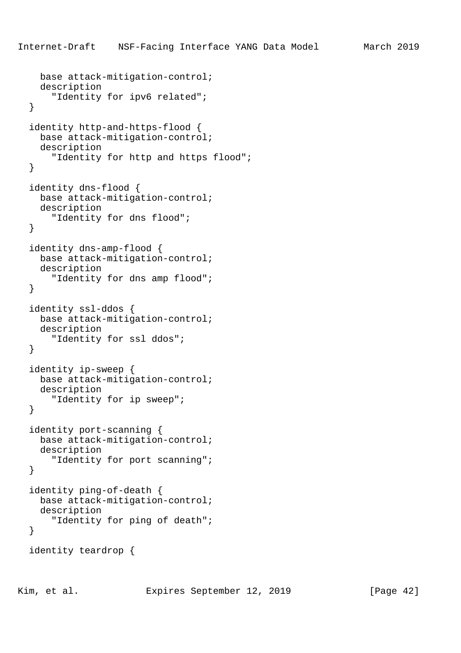```
 base attack-mitigation-control;
   description
     "Identity for ipv6 related";
 }
 identity http-and-https-flood {
   base attack-mitigation-control;
   description
     "Identity for http and https flood";
 }
 identity dns-flood {
  base attack-mitigation-control;
   description
     "Identity for dns flood";
 }
 identity dns-amp-flood {
  base attack-mitigation-control;
   description
     "Identity for dns amp flood";
 }
 identity ssl-ddos {
  base attack-mitigation-control;
   description
     "Identity for ssl ddos";
 }
 identity ip-sweep {
   base attack-mitigation-control;
   description
     "Identity for ip sweep";
 }
 identity port-scanning {
   base attack-mitigation-control;
   description
     "Identity for port scanning";
 }
 identity ping-of-death {
   base attack-mitigation-control;
   description
     "Identity for ping of death";
 }
 identity teardrop {
```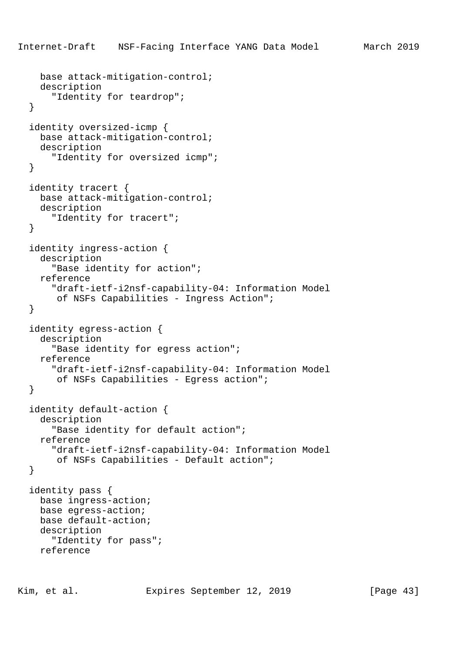```
 base attack-mitigation-control;
   description
     "Identity for teardrop";
 }
 identity oversized-icmp {
  base attack-mitigation-control;
   description
     "Identity for oversized icmp";
 }
 identity tracert {
  base attack-mitigation-control;
   description
     "Identity for tracert";
 }
 identity ingress-action {
   description
     "Base identity for action";
   reference
     "draft-ietf-i2nsf-capability-04: Information Model
      of NSFs Capabilities - Ingress Action";
 }
 identity egress-action {
   description
     "Base identity for egress action";
   reference
     "draft-ietf-i2nsf-capability-04: Information Model
      of NSFs Capabilities - Egress action";
 }
 identity default-action {
   description
     "Base identity for default action";
   reference
     "draft-ietf-i2nsf-capability-04: Information Model
      of NSFs Capabilities - Default action";
 }
 identity pass {
   base ingress-action;
  base egress-action;
  base default-action;
   description
     "Identity for pass";
   reference
```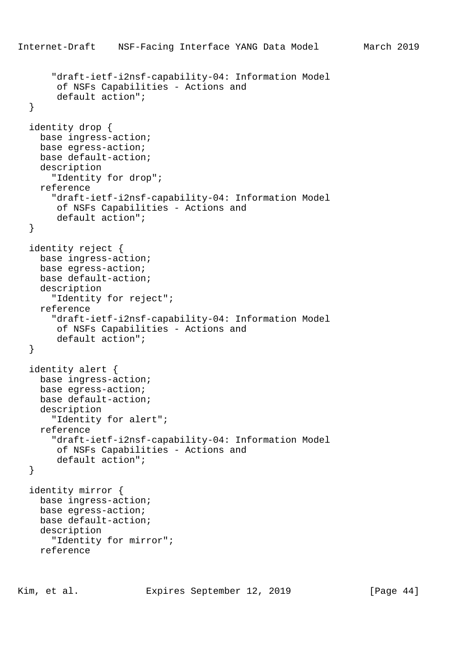```
Internet-Draft NSF-Facing Interface YANG Data Model March 2019
       "draft-ietf-i2nsf-capability-04: Information Model
        of NSFs Capabilities - Actions and
        default action";
   }
   identity drop {
     base ingress-action;
     base egress-action;
     base default-action;
     description
       "Identity for drop";
     reference
       "draft-ietf-i2nsf-capability-04: Information Model
        of NSFs Capabilities - Actions and
        default action";
   }
   identity reject {
     base ingress-action;
     base egress-action;
     base default-action;
     description
       "Identity for reject";
     reference
       "draft-ietf-i2nsf-capability-04: Information Model
        of NSFs Capabilities - Actions and
        default action";
   }
   identity alert {
     base ingress-action;
     base egress-action;
     base default-action;
     description
       "Identity for alert";
     reference
       "draft-ietf-i2nsf-capability-04: Information Model
        of NSFs Capabilities - Actions and
        default action";
   }
   identity mirror {
     base ingress-action;
     base egress-action;
     base default-action;
     description
       "Identity for mirror";
     reference
```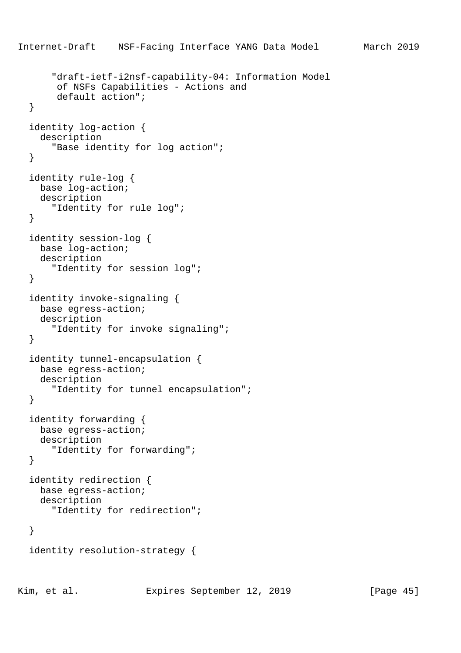```
 "draft-ietf-i2nsf-capability-04: Information Model
      of NSFs Capabilities - Actions and
      default action";
 }
 identity log-action {
   description
     "Base identity for log action";
 }
 identity rule-log {
  base log-action;
   description
     "Identity for rule log";
 }
 identity session-log {
  base log-action;
   description
     "Identity for session log";
 }
 identity invoke-signaling {
   base egress-action;
   description
     "Identity for invoke signaling";
 }
 identity tunnel-encapsulation {
   base egress-action;
   description
     "Identity for tunnel encapsulation";
 }
 identity forwarding {
  base egress-action;
   description
     "Identity for forwarding";
 }
 identity redirection {
  base egress-action;
   description
     "Identity for redirection";
 }
 identity resolution-strategy {
```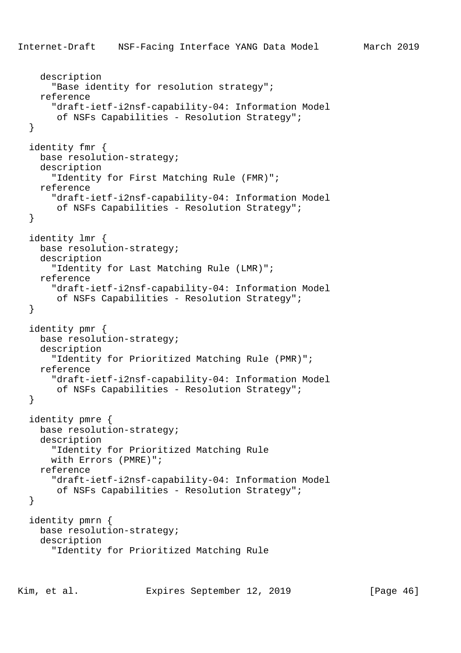```
 description
     "Base identity for resolution strategy";
   reference
     "draft-ietf-i2nsf-capability-04: Information Model
      of NSFs Capabilities - Resolution Strategy";
 }
 identity fmr {
  base resolution-strategy;
   description
     "Identity for First Matching Rule (FMR)";
   reference
     "draft-ietf-i2nsf-capability-04: Information Model
     of NSFs Capabilities - Resolution Strategy";
 }
 identity lmr {
   base resolution-strategy;
   description
     "Identity for Last Matching Rule (LMR)";
   reference
     "draft-ietf-i2nsf-capability-04: Information Model
      of NSFs Capabilities - Resolution Strategy";
 }
 identity pmr {
   base resolution-strategy;
   description
     "Identity for Prioritized Matching Rule (PMR)";
   reference
     "draft-ietf-i2nsf-capability-04: Information Model
      of NSFs Capabilities - Resolution Strategy";
 }
 identity pmre {
   base resolution-strategy;
   description
     "Identity for Prioritized Matching Rule
     with Errors (PMRE)";
   reference
     "draft-ietf-i2nsf-capability-04: Information Model
      of NSFs Capabilities - Resolution Strategy";
 }
 identity pmrn {
   base resolution-strategy;
   description
     "Identity for Prioritized Matching Rule
```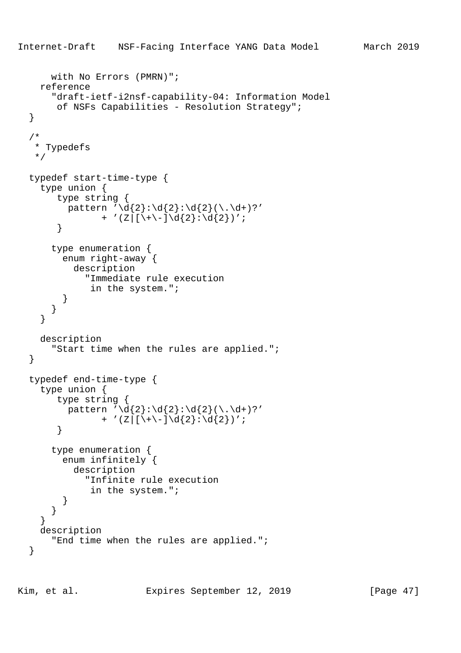```
 with No Errors (PMRN)";
     reference
       "draft-ietf-i2nsf-capability-04: Information Model
        of NSFs Capabilities - Resolution Strategy";
   }
   /*
    * Typedefs
    */
   typedef start-time-type {
     type union {
        type string {
         pattern '\d{2}:\d{2}:\d{2}(\.\d+)?'
                 + '(Z|[\ \ \ \ \ \ \ \ \ \ d\{2\}:\ d\{2\} \ )';
        }
       type enumeration {
         enum right-away {
            description
              "Immediate rule execution
               in the system.";
          }
       }
     }
     description
       "Start time when the rules are applied.";
   }
   typedef end-time-type {
     type union {
        type string {
         pattern '\d{2}:\d{2}:\d{2}(\.\d+)?'
                + '(Z|[\ \ \ \ \ \ \ \ \ \ d\{2\}:\ d\{2\})': }
       type enumeration {
         enum infinitely {
            description
              "Infinite rule execution
               in the system.";
 }
       }
     }
     description
       "End time when the rules are applied.";
   }
```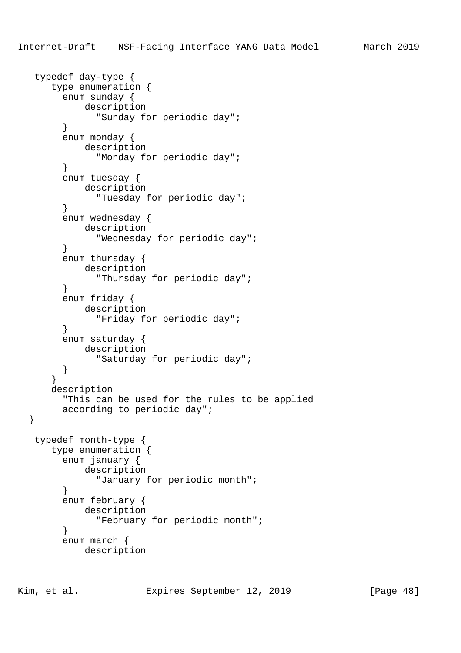```
 typedef day-type {
       type enumeration {
         enum sunday {
             description
                "Sunday for periodic day";
 }
         enum monday {
            description
               "Monday for periodic day";
         }
         enum tuesday {
             description
               "Tuesday for periodic day";
 }
         enum wednesday {
             description
               "Wednesday for periodic day";
 }
         enum thursday {
             description
               "Thursday for periodic day";
         }
         enum friday {
             description
               "Friday for periodic day";
         }
         enum saturday {
             description
               "Saturday for periodic day";
         }
       }
       description
         "This can be used for the rules to be applied
         according to periodic day";
   }
   typedef month-type {
       type enumeration {
         enum january {
             description
               "January for periodic month";
         }
         enum february {
             description
               "February for periodic month";
         }
         enum march {
             description
```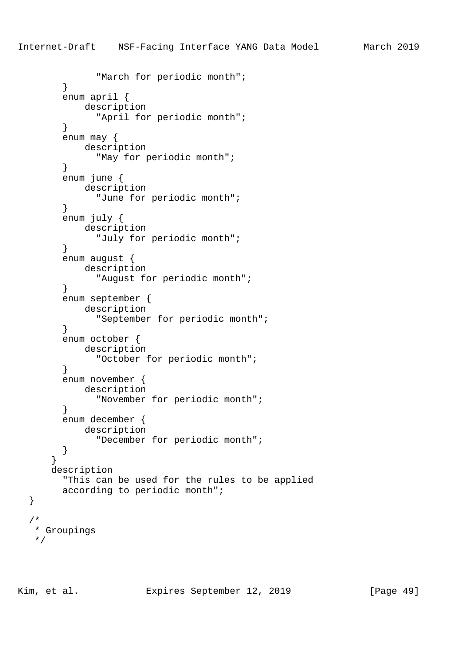```
 "March for periodic month";
         }
         enum april {
             description
               "April for periodic month";
 }
         enum may {
            description
               "May for periodic month";
         }
         enum june {
             description
               "June for periodic month";
 }
         enum july {
             description
               "July for periodic month";
 }
         enum august {
             description
               "August for periodic month";
         }
         enum september {
             description
               "September for periodic month";
         }
         enum october {
             description
               "October for periodic month";
 }
         enum november {
            description
               "November for periodic month";
         }
         enum december {
             description
               "December for periodic month";
         }
       }
       description
         "This can be used for the rules to be applied
         according to periodic month";
    * Groupings
   */
```
/\*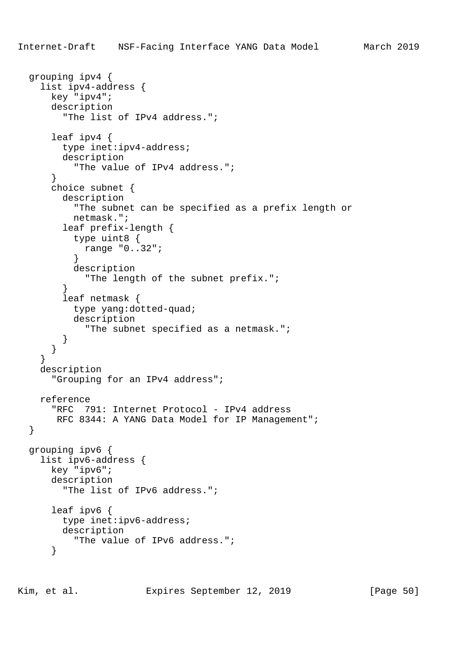```
 grouping ipv4 {
     list ipv4-address {
       key "ipv4";
       description
         "The list of IPv4 address.";
       leaf ipv4 {
         type inet:ipv4-address;
         description
           "The value of IPv4 address.";
       }
       choice subnet {
         description
           "The subnet can be specified as a prefix length or
           netmask.";
         leaf prefix-length {
           type uint8 {
             range "0..32";
 }
           description
             "The length of the subnet prefix.";
 }
         leaf netmask {
           type yang:dotted-quad;
           description
             "The subnet specified as a netmask.";
         }
       }
     }
     description
       "Grouping for an IPv4 address";
     reference
       "RFC 791: Internet Protocol - IPv4 address
       RFC 8344: A YANG Data Model for IP Management";
   }
  grouping ipv6 {
     list ipv6-address {
       key "ipv6";
       description
         "The list of IPv6 address.";
       leaf ipv6 {
         type inet:ipv6-address;
         description
           "The value of IPv6 address.";
       }
```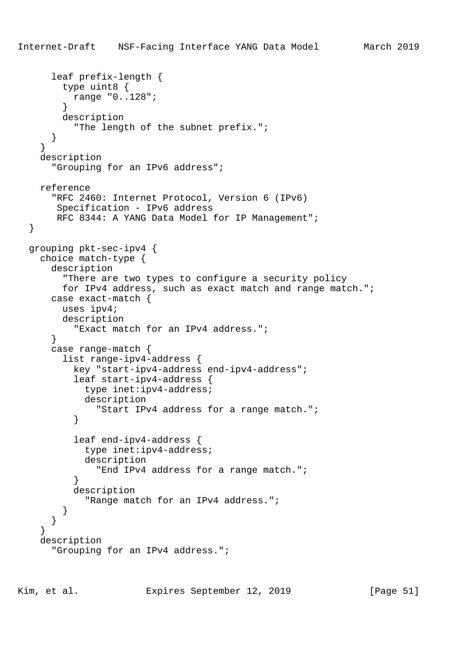```
 leaf prefix-length {
         type uint8 {
           range "0..128";
 }
         description
           "The length of the subnet prefix.";
       }
     }
    description
       "Grouping for an IPv6 address";
    reference
       "RFC 2460: Internet Protocol, Version 6 (IPv6)
        Specification - IPv6 address
        RFC 8344: A YANG Data Model for IP Management";
  }
  grouping pkt-sec-ipv4 {
    choice match-type {
       description
         "There are two types to configure a security policy
         for IPv4 address, such as exact match and range match.";
       case exact-match {
         uses ipv4;
         description
           "Exact match for an IPv4 address.";
       }
       case range-match {
         list range-ipv4-address {
           key "start-ipv4-address end-ipv4-address";
           leaf start-ipv4-address {
             type inet:ipv4-address;
             description
               "Start IPv4 address for a range match.";
 }
           leaf end-ipv4-address {
             type inet:ipv4-address;
             description
               "End IPv4 address for a range match.";
 }
           description
             "Range match for an IPv4 address.";
 }
       }
     }
     description
       "Grouping for an IPv4 address.";
```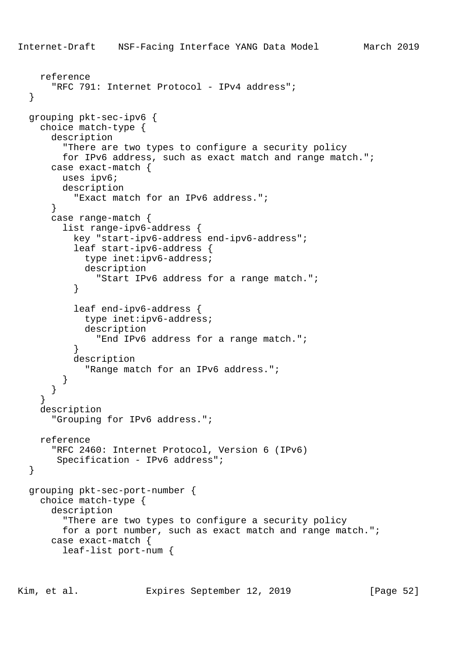```
Internet-Draft NSF-Facing Interface YANG Data Model March 2019
     reference
      "RFC 791: Internet Protocol - IPv4 address";
   }
   grouping pkt-sec-ipv6 {
     choice match-type {
       description
         "There are two types to configure a security policy
         for IPv6 address, such as exact match and range match.";
       case exact-match {
         uses ipv6;
         description
           "Exact match for an IPv6 address.";
       }
       case range-match {
         list range-ipv6-address {
           key "start-ipv6-address end-ipv6-address";
           leaf start-ipv6-address {
             type inet:ipv6-address;
             description
               "Start IPv6 address for a range match.";
 }
           leaf end-ipv6-address {
             type inet:ipv6-address;
             description
               "End IPv6 address for a range match.";
 }
           description
             "Range match for an IPv6 address.";
 }
       }
     }
     description
       "Grouping for IPv6 address.";
     reference
       "RFC 2460: Internet Protocol, Version 6 (IPv6)
        Specification - IPv6 address";
   }
   grouping pkt-sec-port-number {
     choice match-type {
       description
         "There are two types to configure a security policy
         for a port number, such as exact match and range match.";
       case exact-match {
         leaf-list port-num {
```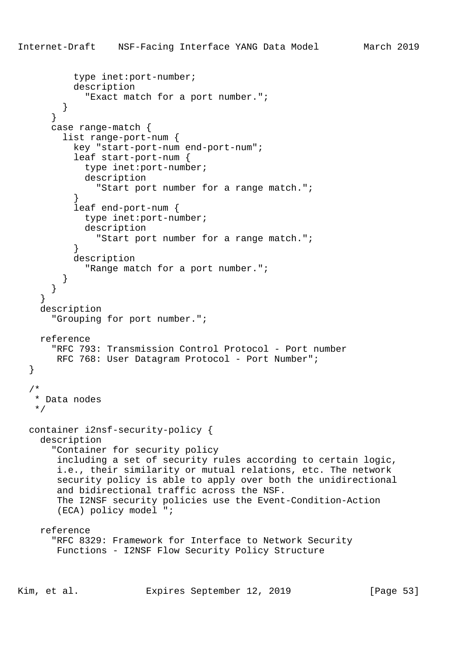```
 type inet:port-number;
           description
             "Exact match for a port number.";
 }
       }
       case range-match {
         list range-port-num {
           key "start-port-num end-port-num";
           leaf start-port-num {
             type inet:port-number;
             description
               "Start port number for a range match.";
 }
           leaf end-port-num {
             type inet:port-number;
             description
               "Start port number for a range match.";
 }
           description
             "Range match for a port number.";
 }
       }
 }
     description
       "Grouping for port number.";
     reference
       "RFC 793: Transmission Control Protocol - Port number
      RFC 768: User Datagram Protocol - Port Number";
   }
   /*
    * Data nodes
    */
   container i2nsf-security-policy {
     description
       "Container for security policy
        including a set of security rules according to certain logic,
        i.e., their similarity or mutual relations, etc. The network
        security policy is able to apply over both the unidirectional
        and bidirectional traffic across the NSF.
        The I2NSF security policies use the Event-Condition-Action
        (ECA) policy model ";
     reference
       "RFC 8329: Framework for Interface to Network Security
       Functions - I2NSF Flow Security Policy Structure
Kim, et al. Expires September 12, 2019 [Page 53]
```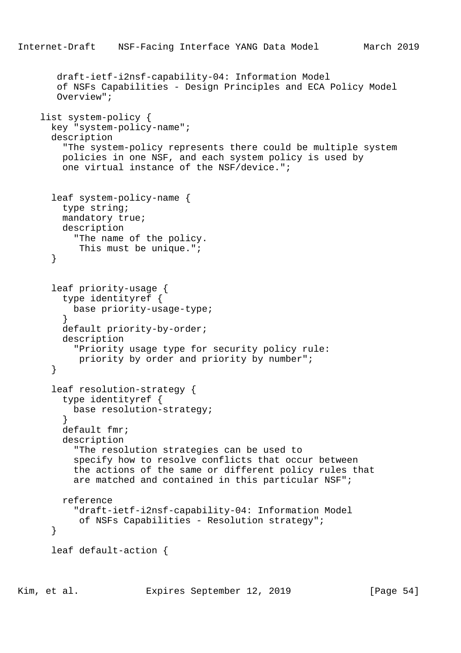```
Internet-Draft NSF-Facing Interface YANG Data Model March 2019
        draft-ietf-i2nsf-capability-04: Information Model
        of NSFs Capabilities - Design Principles and ECA Policy Model
        Overview";
     list system-policy {
       key "system-policy-name";
       description
         "The system-policy represents there could be multiple system
         policies in one NSF, and each system policy is used by
         one virtual instance of the NSF/device.";
       leaf system-policy-name {
         type string;
         mandatory true;
         description
           "The name of the policy.
            This must be unique.";
       }
       leaf priority-usage {
         type identityref {
           base priority-usage-type;
 }
         default priority-by-order;
         description
           "Priority usage type for security policy rule:
            priority by order and priority by number";
       }
       leaf resolution-strategy {
         type identityref {
        base resolution-strategy;<br>}
 }
         default fmr;
         description
           "The resolution strategies can be used to
           specify how to resolve conflicts that occur between
           the actions of the same or different policy rules that
           are matched and contained in this particular NSF";
         reference
           "draft-ietf-i2nsf-capability-04: Information Model
            of NSFs Capabilities - Resolution strategy";
       }
       leaf default-action {
```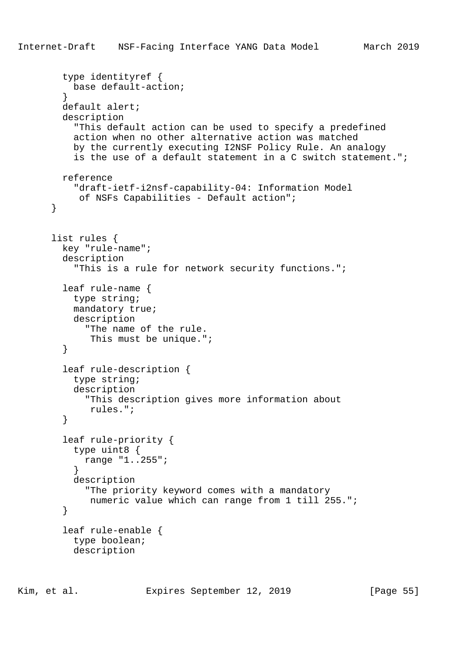```
 type identityref {
           base default-action;
 }
         default alert;
         description
           "This default action can be used to specify a predefined
           action when no other alternative action was matched
           by the currently executing I2NSF Policy Rule. An analogy
           is the use of a default statement in a C switch statement.";
         reference
           "draft-ietf-i2nsf-capability-04: Information Model
            of NSFs Capabilities - Default action";
       }
       list rules {
         key "rule-name";
         description
           "This is a rule for network security functions.";
         leaf rule-name {
           type string;
           mandatory true;
           description
             "The name of the rule.
              This must be unique.";
         }
         leaf rule-description {
           type string;
           description
             "This description gives more information about
              rules.";
         }
         leaf rule-priority {
           type uint8 {
             range "1..255";
 }
           description
             "The priority keyword comes with a mandatory
              numeric value which can range from 1 till 255.";
         }
         leaf rule-enable {
           type boolean;
           description
```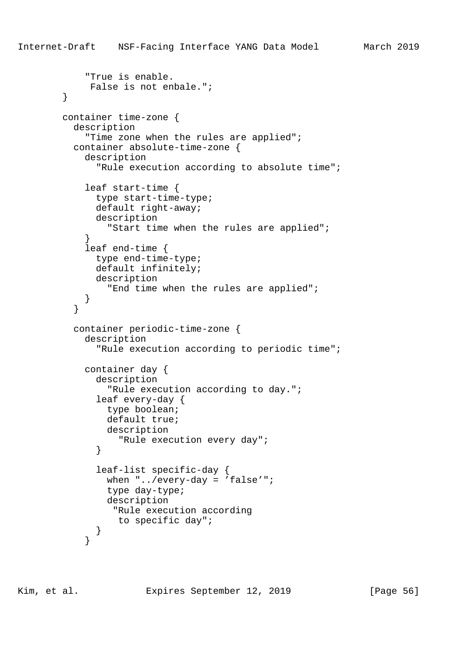```
 "True is enable.
             False is not enbale.";
         }
        container time-zone {
          description
            "Time zone when the rules are applied";
          container absolute-time-zone {
            description
              "Rule execution according to absolute time";
            leaf start-time {
              type start-time-type;
              default right-away;
              description
                "Start time when the rules are applied";
 }
            leaf end-time {
              type end-time-type;
              default infinitely;
              description
                "End time when the rules are applied";
 }
 }
          container periodic-time-zone {
            description
               "Rule execution according to periodic time";
            container day {
              description
                 "Rule execution according to day.";
              leaf every-day {
                type boolean;
                default true;
                description
                  "Rule execution every day";
 }
              leaf-list specific-day {
               when "../every-day = 'false'";
                type day-type;
                description
                 "Rule execution according
                  to specific day";
 }
```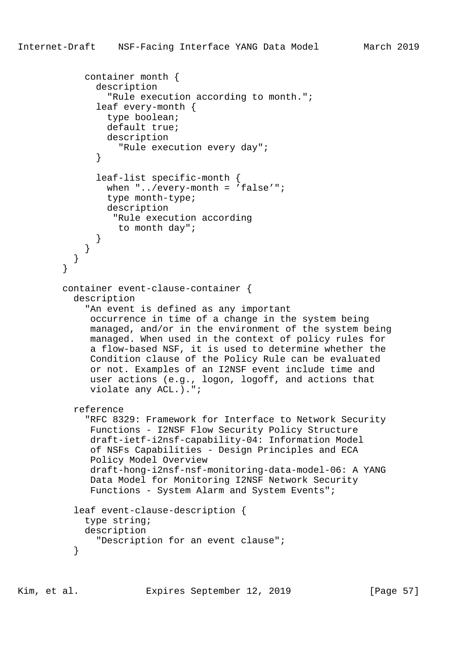```
 container month {
               description
                 "Rule execution according to month.";
               leaf every-month {
                 type boolean;
                 default true;
                 description
               "Rule execution every day";
 }
               leaf-list specific-month {
                when \cdot \cdot../every-month = 'false'";
                 type month-type;
                 description
                  "Rule execution according
                   to month day";
 }
             }
        \begin{matrix} \end{matrix} }
         container event-clause-container {
           description
             "An event is defined as any important
              occurrence in time of a change in the system being
              managed, and/or in the environment of the system being
              managed. When used in the context of policy rules for
              a flow-based NSF, it is used to determine whether the
              Condition clause of the Policy Rule can be evaluated
              or not. Examples of an I2NSF event include time and
              user actions (e.g., logon, logoff, and actions that
              violate any ACL.).";
           reference
             "RFC 8329: Framework for Interface to Network Security
              Functions - I2NSF Flow Security Policy Structure
              draft-ietf-i2nsf-capability-04: Information Model
              of NSFs Capabilities - Design Principles and ECA
              Policy Model Overview
              draft-hong-i2nsf-nsf-monitoring-data-model-06: A YANG
              Data Model for Monitoring I2NSF Network Security
              Functions - System Alarm and System Events";
           leaf event-clause-description {
             type string;
             description
               "Description for an event clause";
 }
```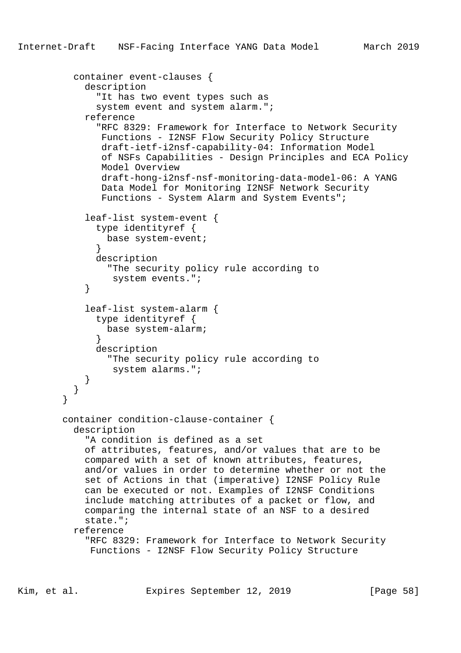```
 container event-clauses {
            description
               "It has two event types such as
              system event and system alarm.";
            reference
               "RFC 8329: Framework for Interface to Network Security
               Functions - I2NSF Flow Security Policy Structure
               draft-ietf-i2nsf-capability-04: Information Model
               of NSFs Capabilities - Design Principles and ECA Policy
               Model Overview
               draft-hong-i2nsf-nsf-monitoring-data-model-06: A YANG
               Data Model for Monitoring I2NSF Network Security
               Functions - System Alarm and System Events";
            leaf-list system-event {
              type identityref {
                base system-event;
 }
              description
                "The security policy rule according to
                 system events.";
 }
            leaf-list system-alarm {
              type identityref {
                base system-alarm;
 }
              description
                "The security policy rule according to
                 system alarms.";
 }
 }
 }
        container condition-clause-container {
          description
            "A condition is defined as a set
            of attributes, features, and/or values that are to be
            compared with a set of known attributes, features,
            and/or values in order to determine whether or not the
            set of Actions in that (imperative) I2NSF Policy Rule
            can be executed or not. Examples of I2NSF Conditions
            include matching attributes of a packet or flow, and
            comparing the internal state of an NSF to a desired
            state.";
          reference
            "RFC 8329: Framework for Interface to Network Security
             Functions - I2NSF Flow Security Policy Structure
```
Kim, et al. Expires September 12, 2019 [Page 58]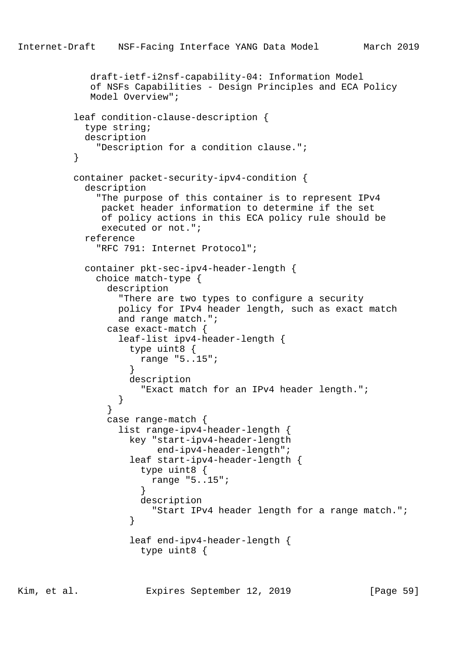```
 draft-ietf-i2nsf-capability-04: Information Model
             of NSFs Capabilities - Design Principles and ECA Policy
             Model Overview";
          leaf condition-clause-description {
            type string;
            description
              "Description for a condition clause.";
 }
          container packet-security-ipv4-condition {
            description
              "The purpose of this container is to represent IPv4
               packet header information to determine if the set
               of policy actions in this ECA policy rule should be
               executed or not.";
            reference
              "RFC 791: Internet Protocol";
            container pkt-sec-ipv4-header-length {
              choice match-type {
                description
                  "There are two types to configure a security
                  policy for IPv4 header length, such as exact match
                  and range match.";
                case exact-match {
                  leaf-list ipv4-header-length {
                    type uint8 {
                      range "5..15";
 }
                    description
                      "Exact match for an IPv4 header length.";
 }
 }
                case range-match {
                  list range-ipv4-header-length {
                    key "start-ipv4-header-length
                        end-ipv4-header-length";
                    leaf start-ipv4-header-length {
                      type uint8 {
                        range "5..15";
 }
                      description
                        "Start IPv4 header length for a range match.";
 }
                    leaf end-ipv4-header-length {
                      type uint8 {
```
Kim, et al. Expires September 12, 2019 [Page 59]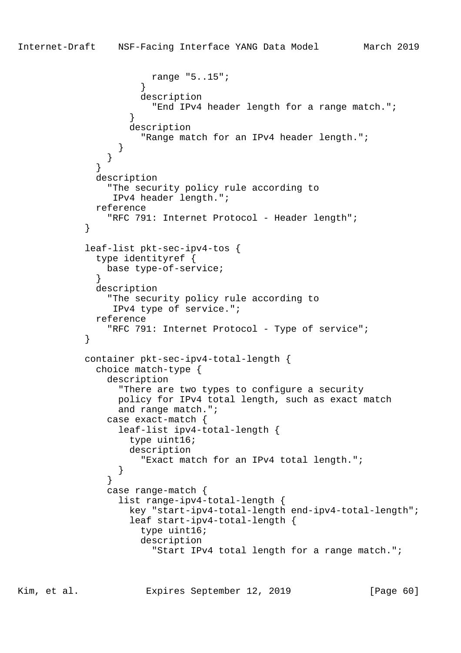```
 range "5..15";
 }
                     description
                       "End IPv4 header length for a range match.";
 }
                   description
                     "Range match for an IPv4 header length.";
 }
 }
 }
             description
               "The security policy rule according to
                IPv4 header length.";
             reference
              "RFC 791: Internet Protocol - Header length";
 }
           leaf-list pkt-sec-ipv4-tos {
             type identityref {
               base type-of-service;
 }
             description
               "The security policy rule according to
                IPv4 type of service.";
             reference
               "RFC 791: Internet Protocol - Type of service";
 }
           container pkt-sec-ipv4-total-length {
             choice match-type {
               description
                 "There are two types to configure a security
                 policy for IPv4 total length, such as exact match
                 and range match.";
               case exact-match {
                 leaf-list ipv4-total-length {
                   type uint16;
                   description
                     "Exact match for an IPv4 total length.";
 }
 }
               case range-match {
                 list range-ipv4-total-length {
                   key "start-ipv4-total-length end-ipv4-total-length";
                   leaf start-ipv4-total-length {
                     type uint16;
                     description
                       "Start IPv4 total length for a range match.";
```
Kim, et al. Expires September 12, 2019 [Page 60]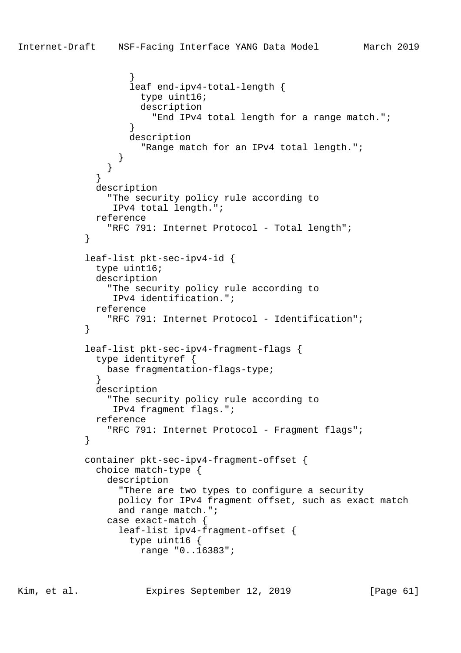```
 }
                   leaf end-ipv4-total-length {
                     type uint16;
                     description
                       "End IPv4 total length for a range match.";
 }
                   description
                     "Range match for an IPv4 total length.";
 }
 }
 }
             description
               "The security policy rule according to
                IPv4 total length.";
             reference
              "RFC 791: Internet Protocol - Total length";
 }
            leaf-list pkt-sec-ipv4-id {
             type uint16;
             description
               "The security policy rule according to
                IPv4 identification.";
             reference
               "RFC 791: Internet Protocol - Identification";
 }
            leaf-list pkt-sec-ipv4-fragment-flags {
             type identityref {
               base fragmentation-flags-type;
 }
             description
               "The security policy rule according to
                IPv4 fragment flags.";
             reference
                "RFC 791: Internet Protocol - Fragment flags";
 }
            container pkt-sec-ipv4-fragment-offset {
             choice match-type {
               description
                 "There are two types to configure a security
                 policy for IPv4 fragment offset, such as exact match
                 and range match.";
               case exact-match {
                 leaf-list ipv4-fragment-offset {
                   type uint16 {
                     range "0..16383";
```
Kim, et al. Expires September 12, 2019 [Page 61]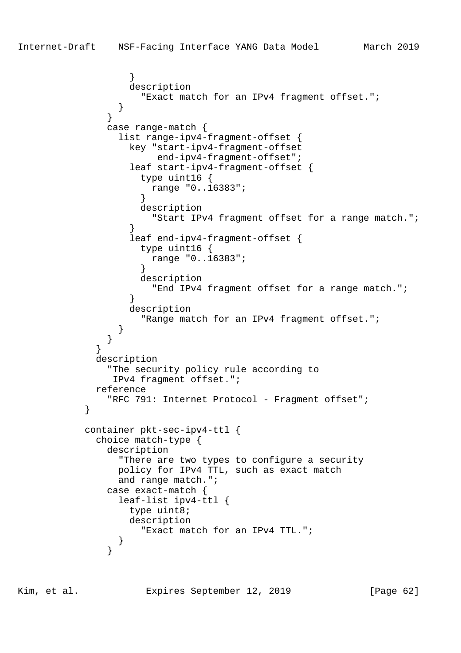```
 }
                  description
                    "Exact match for an IPv4 fragment offset.";
 }
 }
              case range-match {
                list range-ipv4-fragment-offset {
                  key "start-ipv4-fragment-offset
                      end-ipv4-fragment-offset";
                  leaf start-ipv4-fragment-offset {
                   type uint16 {
                     range "0..16383";
 }
                   description
                     "Start IPv4 fragment offset for a range match.";
 }
                  leaf end-ipv4-fragment-offset {
                   type uint16 {
                     range "0..16383";
 }
                   description
                     "End IPv4 fragment offset for a range match.";
 }
                  description
                   "Range match for an IPv4 fragment offset.";
 }
 }
 }
            description
              "The security policy rule according to
               IPv4 fragment offset.";
            reference
              "RFC 791: Internet Protocol - Fragment offset";
           container pkt-sec-ipv4-ttl {
            choice match-type {
              description
                "There are two types to configure a security
                policy for IPv4 TTL, such as exact match
                and range match.";
              case exact-match {
                leaf-list ipv4-ttl {
                  type uint8;
                  description
                    "Exact match for an IPv4 TTL.";
 }
 }
```
Kim, et al. Expires September 12, 2019 [Page 62]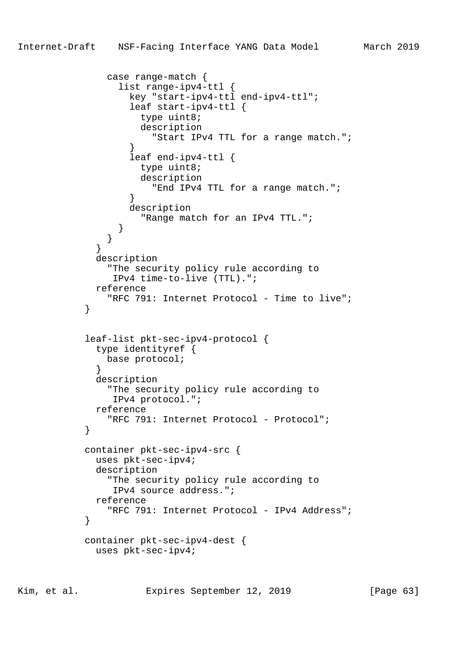```
 case range-match {
                 list range-ipv4-ttl {
                   key "start-ipv4-ttl end-ipv4-ttl";
                   leaf start-ipv4-ttl {
                     type uint8;
                     description
                       "Start IPv4 TTL for a range match.";
 }
                   leaf end-ipv4-ttl {
                    type uint8;
                     description
                       "End IPv4 TTL for a range match.";
 }
                   description
                     "Range match for an IPv4 TTL.";
 }
 }
 }
             description
               "The security policy rule according to
                IPv4 time-to-live (TTL).";
             reference
              "RFC 791: Internet Protocol - Time to live";
 }
            leaf-list pkt-sec-ipv4-protocol {
             type identityref {
               base protocol;
 }
             description
               "The security policy rule according to
                IPv4 protocol.";
             reference
               "RFC 791: Internet Protocol - Protocol";
 }
            container pkt-sec-ipv4-src {
             uses pkt-sec-ipv4;
             description
               "The security policy rule according to
                IPv4 source address.";
             reference
              "RFC 791: Internet Protocol - IPv4 Address";
 }
            container pkt-sec-ipv4-dest {
             uses pkt-sec-ipv4;
```
Kim, et al. Expires September 12, 2019 [Page 63]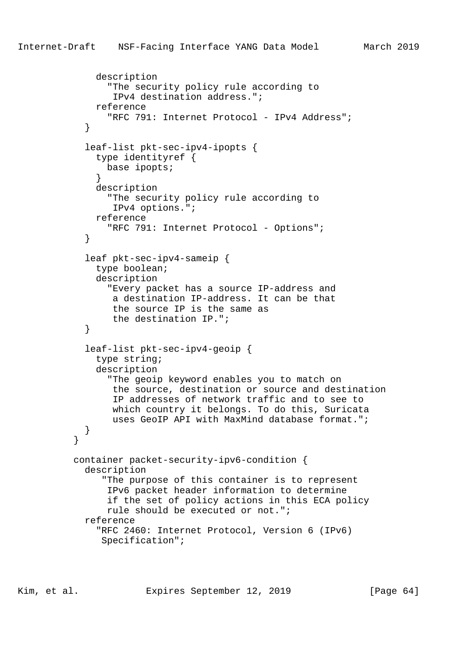```
 description
                "The security policy rule according to
                 IPv4 destination address.";
              reference
                "RFC 791: Internet Protocol - IPv4 Address";
 }
            leaf-list pkt-sec-ipv4-ipopts {
              type identityref {
                base ipopts;
 }
              description
                "The security policy rule according to
                 IPv4 options.";
              reference
               "RFC 791: Internet Protocol - Options";
 }
            leaf pkt-sec-ipv4-sameip {
              type boolean;
              description
                "Every packet has a source IP-address and
                 a destination IP-address. It can be that
                 the source IP is the same as
                 the destination IP.";
 }
            leaf-list pkt-sec-ipv4-geoip {
              type string;
              description
                "The geoip keyword enables you to match on
                 the source, destination or source and destination
                 IP addresses of network traffic and to see to
                 which country it belongs. To do this, Suricata
                 uses GeoIP API with MaxMind database format.";
 }
 }
          container packet-security-ipv6-condition {
            description
               "The purpose of this container is to represent
                IPv6 packet header information to determine
                if the set of policy actions in this ECA policy
                rule should be executed or not.";
            reference
              "RFC 2460: Internet Protocol, Version 6 (IPv6)
               Specification";
```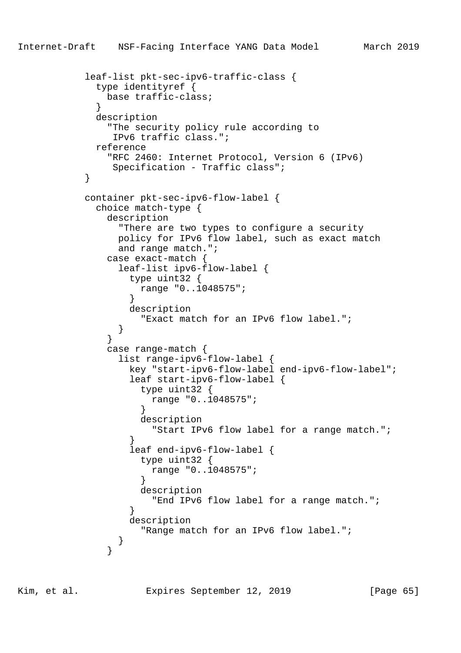```
 leaf-list pkt-sec-ipv6-traffic-class {
             type identityref {
               base traffic-class;
 }
             description
               "The security policy rule according to
               IPv6 traffic class.";
             reference
               "RFC 2460: Internet Protocol, Version 6 (IPv6)
               Specification - Traffic class";
 }
           container pkt-sec-ipv6-flow-label {
             choice match-type {
               description
                 "There are two types to configure a security
                policy for IPv6 flow label, such as exact match
                and range match.";
               case exact-match {
                leaf-list ipv6-flow-label {
                  type uint32 {
                    range "0..1048575";
 }
                  description
                    "Exact match for an IPv6 flow label.";
 }
 }
               case range-match {
                 list range-ipv6-flow-label {
                  key "start-ipv6-flow-label end-ipv6-flow-label";
                  leaf start-ipv6-flow-label {
                    type uint32 {
                      range "0..1048575";
 }
                    description
                      "Start IPv6 flow label for a range match.";
 }
                  leaf end-ipv6-flow-label {
                    type uint32 {
                      range "0..1048575";
 }
                    description
                      "End IPv6 flow label for a range match.";
 }
                  description
                    "Range match for an IPv6 flow label.";
 }
 }
```
Kim, et al. **Expires September 12, 2019** [Page 65]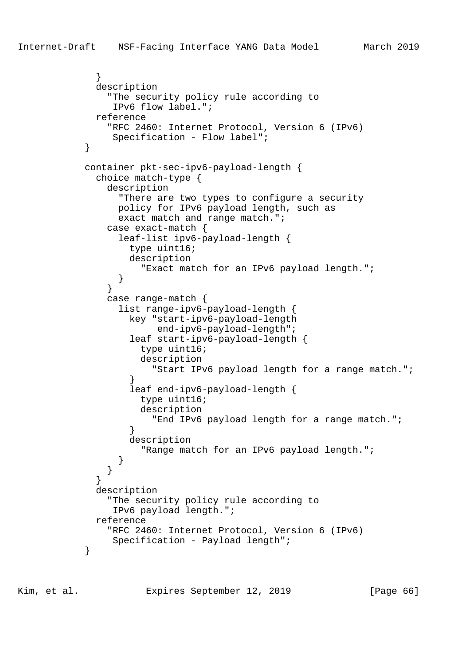```
 }
             description
               "The security policy rule according to
                IPv6 flow label.";
             reference
               "RFC 2460: Internet Protocol, Version 6 (IPv6)
                Specification - Flow label";
 }
            container pkt-sec-ipv6-payload-length {
             choice match-type {
               description
                 "There are two types to configure a security
                 policy for IPv6 payload length, such as
                 exact match and range match.";
               case exact-match {
                 leaf-list ipv6-payload-length {
                   type uint16;
                   description
                     "Exact match for an IPv6 payload length.";
 }
 }
               case range-match {
                 list range-ipv6-payload-length {
                   key "start-ipv6-payload-length
                       end-ipv6-payload-length";
                   leaf start-ipv6-payload-length {
                     type uint16;
                     description
                       "Start IPv6 payload length for a range match.";
 }
                   leaf end-ipv6-payload-length {
                     type uint16;
                     description
                       "End IPv6 payload length for a range match.";
 }
                   description
                     "Range match for an IPv6 payload length.";
 }
 }
 }
             description
               "The security policy rule according to
                IPv6 payload length.";
             reference
               "RFC 2460: Internet Protocol, Version 6 (IPv6)
                Specification - Payload length";
 }
```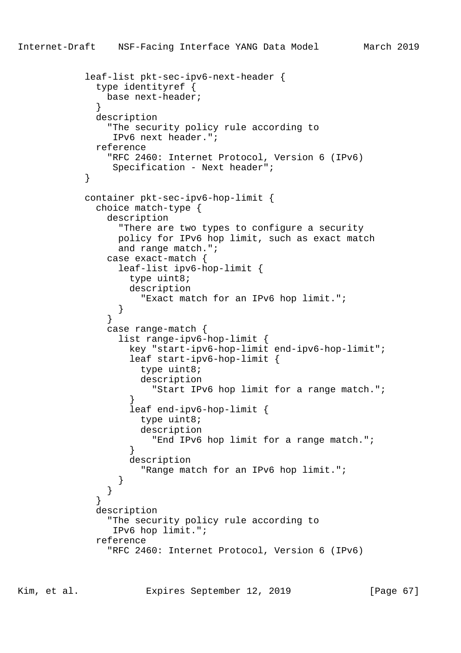```
 leaf-list pkt-sec-ipv6-next-header {
              type identityref {
               base next-header;
 }
             description
                "The security policy rule according to
                IPv6 next header.";
             reference
               "RFC 2460: Internet Protocol, Version 6 (IPv6)
                Specification - Next header";
 }
            container pkt-sec-ipv6-hop-limit {
             choice match-type {
               description
                 "There are two types to configure a security
                 policy for IPv6 hop limit, such as exact match
                 and range match.";
               case exact-match {
                 leaf-list ipv6-hop-limit {
                   type uint8;
                   description
                     "Exact match for an IPv6 hop limit.";
 }
 }
               case range-match {
                 list range-ipv6-hop-limit {
                   key "start-ipv6-hop-limit end-ipv6-hop-limit";
                   leaf start-ipv6-hop-limit {
                     type uint8;
                     description
                       "Start IPv6 hop limit for a range match.";
 }
                   leaf end-ipv6-hop-limit {
                     type uint8;
                     description
                       "End IPv6 hop limit for a range match.";
 }
                   description
                     "Range match for an IPv6 hop limit.";
 }
 }
 }
             description
                "The security policy rule according to
                IPv6 hop limit.";
             reference
                "RFC 2460: Internet Protocol, Version 6 (IPv6)
```
Kim, et al. Expires September 12, 2019 [Page 67]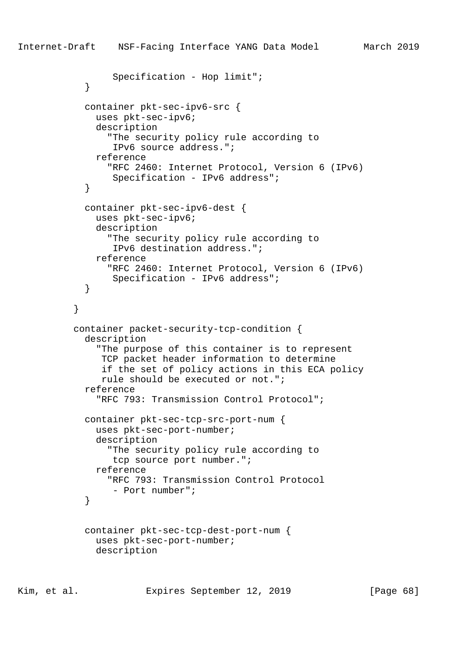```
 Specification - Hop limit";
 }
            container pkt-sec-ipv6-src {
              uses pkt-sec-ipv6;
              description
                 "The security policy rule according to
                 IPv6 source address.";
              reference
                 "RFC 2460: Internet Protocol, Version 6 (IPv6)
                  Specification - IPv6 address";
 }
            container pkt-sec-ipv6-dest {
              uses pkt-sec-ipv6;
              description
                 "The security policy rule according to
                  IPv6 destination address.";
              reference
                 "RFC 2460: Internet Protocol, Version 6 (IPv6)
                 Specification - IPv6 address";
 }
 }
          container packet-security-tcp-condition {
            description
               "The purpose of this container is to represent
               TCP packet header information to determine
                if the set of policy actions in this ECA policy
               rule should be executed or not.";
            reference
               "RFC 793: Transmission Control Protocol";
            container pkt-sec-tcp-src-port-num {
              uses pkt-sec-port-number;
              description
                 "The security policy rule according to
                 tcp source port number.";
              reference
                 "RFC 793: Transmission Control Protocol
                 - Port number";
 }
            container pkt-sec-tcp-dest-port-num {
              uses pkt-sec-port-number;
              description
```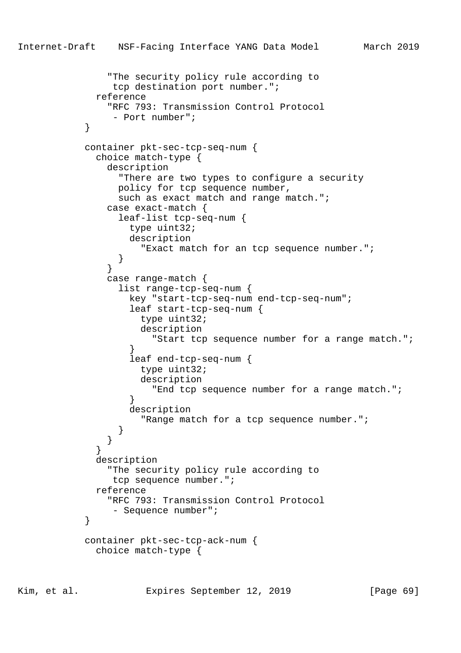```
 "The security policy rule according to
                tcp destination port number.";
             reference
               "RFC 793: Transmission Control Protocol
                - Port number";
 }
            container pkt-sec-tcp-seq-num {
             choice match-type {
               description
                 "There are two types to configure a security
                 policy for tcp sequence number,
                such as exact match and range match.";
               case exact-match {
                 leaf-list tcp-seq-num {
                   type uint32;
                   description
                     "Exact match for an tcp sequence number.";
 }
 }
               case range-match {
                 list range-tcp-seq-num {
                   key "start-tcp-seq-num end-tcp-seq-num";
                   leaf start-tcp-seq-num {
                     type uint32;
                     description
                       "Start tcp sequence number for a range match.";
 }
                   leaf end-tcp-seq-num {
                     type uint32;
                     description
                       "End tcp sequence number for a range match.";
 }
                   description
                     "Range match for a tcp sequence number.";
 }
 }
 }
             description
               "The security policy rule according to
                tcp sequence number.";
             reference
               "RFC 793: Transmission Control Protocol
                - Sequence number";
 }
            container pkt-sec-tcp-ack-num {
             choice match-type {
```
Kim, et al. Expires September 12, 2019 [Page 69]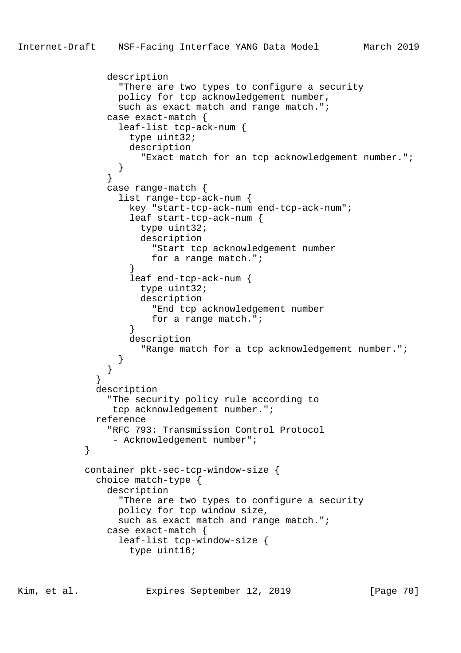```
 description
                  "There are two types to configure a security
                 policy for tcp acknowledgement number,
                 such as exact match and range match.";
                case exact-match {
                  leaf-list tcp-ack-num {
                   type uint32;
                   description
                      "Exact match for an tcp acknowledgement number.";
 }
 }
                case range-match {
                  list range-tcp-ack-num {
                   key "start-tcp-ack-num end-tcp-ack-num";
                    leaf start-tcp-ack-num {
                     type uint32;
                     description
                        "Start tcp acknowledgement number
                       for a range match.";
 }
                    leaf end-tcp-ack-num {
                     type uint32;
                     description
                       "End tcp acknowledgement number
                       for a range match.";
 }
                   description
                      "Range match for a tcp acknowledgement number.";
 }
 }
 }
              description
                "The security policy rule according to
                 tcp acknowledgement number.";
              reference
                "RFC 793: Transmission Control Protocol
                - Acknowledgement number";
            container pkt-sec-tcp-window-size {
              choice match-type {
                description
                  "There are two types to configure a security
                 policy for tcp window size,
                  such as exact match and range match.";
                case exact-match {
                  leaf-list tcp-window-size {
                   type uint16;
```
Kim, et al. Expires September 12, 2019 [Page 70]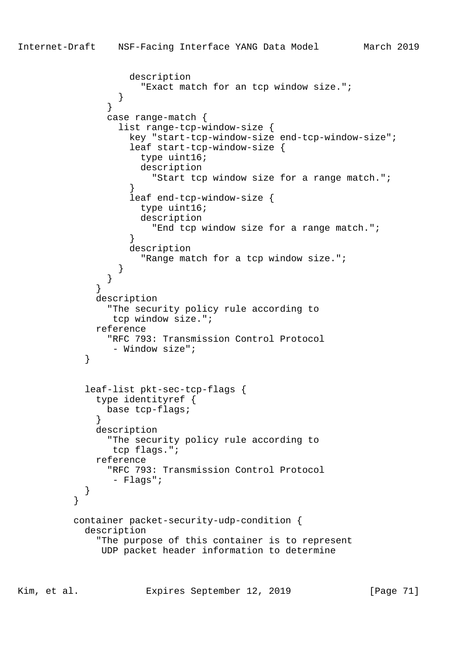```
 description
                     "Exact match for an tcp window size.";
 }
 }
               case range-match {
                 list range-tcp-window-size {
                  key "start-tcp-window-size end-tcp-window-size";
                   leaf start-tcp-window-size {
                    type uint16;
                    description
                      "Start tcp window size for a range match.";
 }
                   leaf end-tcp-window-size {
                    type uint16;
                    description
                      "End tcp window size for a range match.";
 }
                  description
                    "Range match for a tcp window size.";
 }
 }
 }
             description
               "The security policy rule according to
                tcp window size.";
             reference
               "RFC 793: Transmission Control Protocol
                - Window size";
 }
           leaf-list pkt-sec-tcp-flags {
             type identityref {
               base tcp-flags;
 }
             description
               "The security policy rule according to
                tcp flags.";
             reference
               "RFC 793: Transmission Control Protocol
                - Flags";
 }
 }
         container packet-security-udp-condition {
           description
             "The purpose of this container is to represent
              UDP packet header information to determine
```
Kim, et al. Expires September 12, 2019 [Page 71]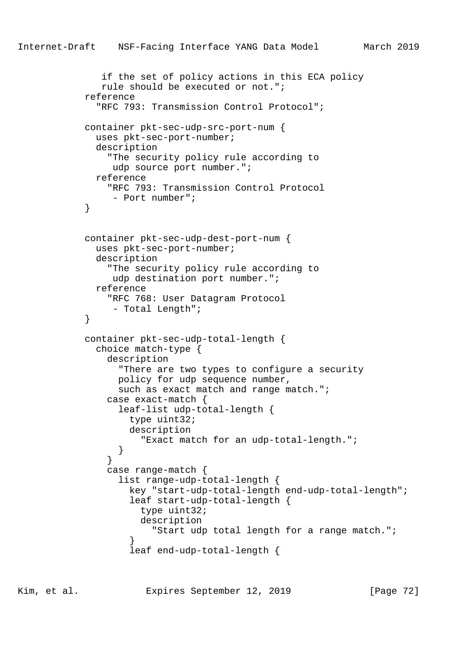```
 if the set of policy actions in this ECA policy
               rule should be executed or not.";
            reference
              "RFC 793: Transmission Control Protocol";
            container pkt-sec-udp-src-port-num {
              uses pkt-sec-port-number;
              description
                "The security policy rule according to
                 udp source port number.";
              reference
                "RFC 793: Transmission Control Protocol
            - Port number";
 }
            container pkt-sec-udp-dest-port-num {
              uses pkt-sec-port-number;
              description
                "The security policy rule according to
                udp destination port number.";
              reference
                "RFC 768: User Datagram Protocol
                 - Total Length";
 }
            container pkt-sec-udp-total-length {
              choice match-type {
                description
                  "There are two types to configure a security
                  policy for udp sequence number,
                 such as exact match and range match.";
                case exact-match {
                  leaf-list udp-total-length {
                    type uint32;
                    description
                      "Exact match for an udp-total-length.";
 }
 }
                case range-match {
                  list range-udp-total-length {
                    key "start-udp-total-length end-udp-total-length";
                    leaf start-udp-total-length {
                      type uint32;
                      description
                        "Start udp total length for a range match.";
 }
                    leaf end-udp-total-length {
```
Kim, et al. Expires September 12, 2019 [Page 72]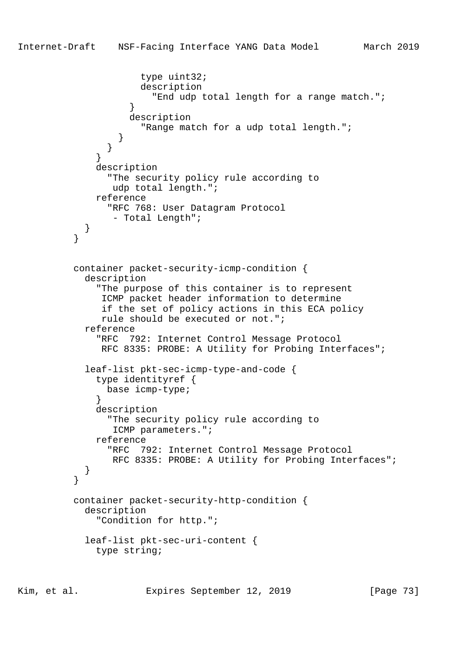```
 type uint32;
                    description
                      "End udp total length for a range match.";
}
                  description
                    "Range match for a udp total length.";
}
}
}
             description
               "The security policy rule according to
               udp total length.";
             reference
               "RFC 768: User Datagram Protocol
               - Total Length";
}
}
         container packet-security-icmp-condition {
           description
             "The purpose of this container is to represent
              ICMP packet header information to determine
              if the set of policy actions in this ECA policy
             rule should be executed or not.";
           reference
             "RFC 792: Internet Control Message Protocol
             RFC 8335: PROBE: A Utility for Probing Interfaces";
           leaf-list pkt-sec-icmp-type-and-code {
             type identityref {
              base icmp-type;
}
            description
               "The security policy rule according to
               ICMP parameters.";
             reference
               "RFC 792: Internet Control Message Protocol
               RFC 8335: PROBE: A Utility for Probing Interfaces";
}
}
         container packet-security-http-condition {
           description
             "Condition for http.";
           leaf-list pkt-sec-uri-content {
             type string;
```
Kim, et al. Expires September 12, 2019 [Page 73]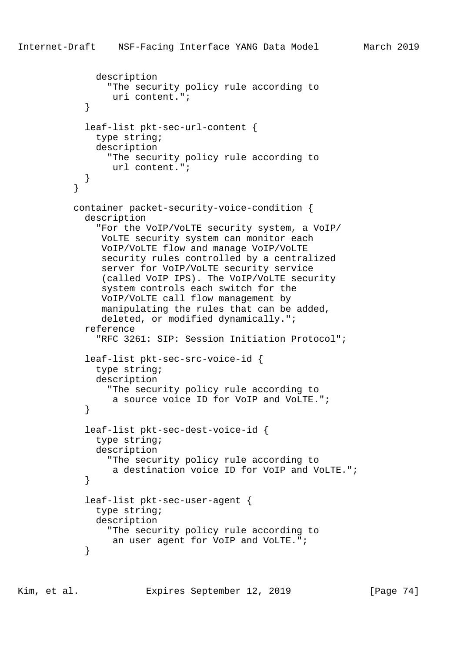```
 description
               "The security policy rule according to
                uri content.";
}
           leaf-list pkt-sec-url-content {
             type string;
             description
               "The security policy rule according to
                url content.";
}
}
         container packet-security-voice-condition {
           description
              "For the VoIP/VoLTE security system, a VoIP/
              VoLTE security system can monitor each
              VoIP/VoLTE flow and manage VoIP/VoLTE
              security rules controlled by a centralized
              server for VoIP/VoLTE security service
              (called VoIP IPS). The VoIP/VoLTE security
              system controls each switch for the
              VoIP/VoLTE call flow management by
              manipulating the rules that can be added,
              deleted, or modified dynamically.";
           reference
              "RFC 3261: SIP: Session Initiation Protocol";
           leaf-list pkt-sec-src-voice-id {
             type string;
             description
               "The security policy rule according to
                a source voice ID for VoIP and VoLTE.";
}
           leaf-list pkt-sec-dest-voice-id {
             type string;
             description
               "The security policy rule according to
                a destination voice ID for VoIP and VoLTE.";
}
           leaf-list pkt-sec-user-agent {
             type string;
             description
               "The security policy rule according to
                an user agent for VoIP and VoLTE.";
}
```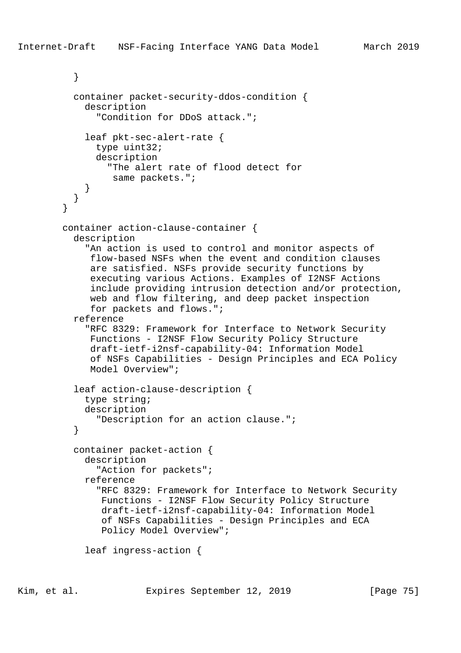```
 }
         container packet-security-ddos-condition {
           description
              "Condition for DDoS attack.";
           leaf pkt-sec-alert-rate {
              type uint32;
              description
                "The alert rate of flood detect for
                 same packets.";
}
}
}
       container action-clause-container {
         description
            "An action is used to control and monitor aspects of
            flow-based NSFs when the event and condition clauses
            are satisfied. NSFs provide security functions by
            executing various Actions. Examples of I2NSF Actions
            include providing intrusion detection and/or protection,
            web and flow filtering, and deep packet inspection
             for packets and flows.";
         reference
           "RFC 8329: Framework for Interface to Network Security
            Functions - I2NSF Flow Security Policy Structure
            draft-ietf-i2nsf-capability-04: Information Model
            of NSFs Capabilities - Design Principles and ECA Policy
            Model Overview";
         leaf action-clause-description {
           type string;
           description
              "Description for an action clause.";
}
         container packet-action {
           description
              "Action for packets";
           reference
              "RFC 8329: Framework for Interface to Network Security
              Functions - I2NSF Flow Security Policy Structure
              draft-ietf-i2nsf-capability-04: Information Model
              of NSFs Capabilities - Design Principles and ECA
               Policy Model Overview";
           leaf ingress-action {
```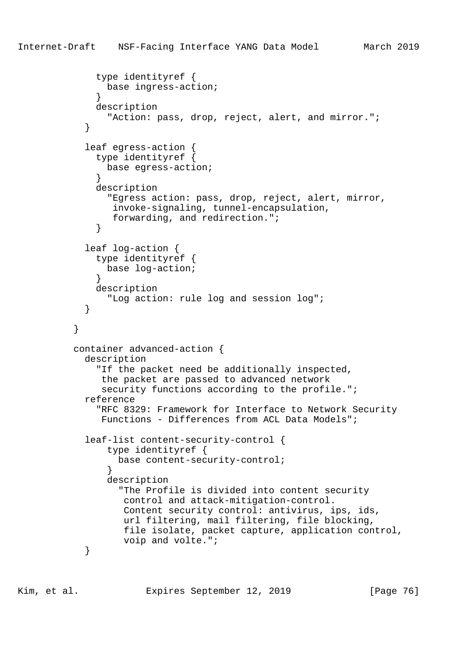```
 type identityref {
               base ingress-action;
}
             description
               "Action: pass, drop, reject, alert, and mirror.";
}
           leaf egress-action {
             type identityref {
              base egress-action;
}
             description
               "Egress action: pass, drop, reject, alert, mirror,
                invoke-signaling, tunnel-encapsulation,
                forwarding, and redirection.";
}
           leaf log-action {
             type identityref {
              base log-action;
}
             description
               "Log action: rule log and session log";
}
}
         container advanced-action {
           description
             "If the packet need be additionally inspected,
              the packet are passed to advanced network
             security functions according to the profile.";
           reference
             "RFC 8329: Framework for Interface to Network Security
              Functions - Differences from ACL Data Models";
           leaf-list content-security-control {
               type identityref {
                base content-security-control;
}
               description
                 "The Profile is divided into content security
                  control and attack-mitigation-control.
                 Content security control: antivirus, ips, ids,
                 url filtering, mail filtering, file blocking,
                  file isolate, packet capture, application control,
                 voip and volte.";
}
```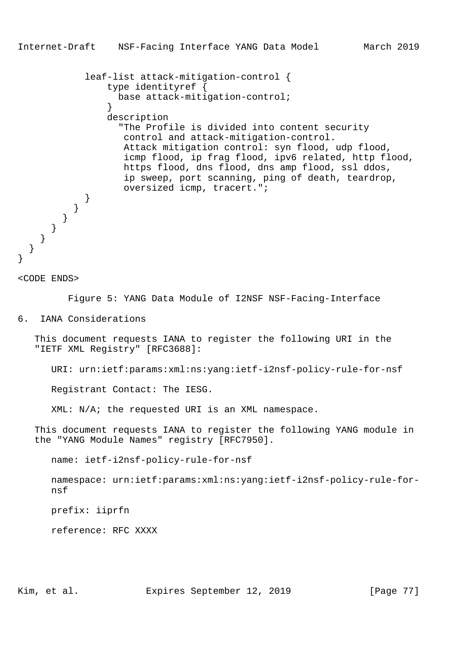leaf-list attack-mitigation-control { type identityref { base attack-mitigation-control; } description "The Profile is divided into content security control and attack-mitigation-control. Attack mitigation control: syn flood, udp flood, icmp flood, ip frag flood, ipv6 related, http flood, https flood, dns flood, dns amp flood, ssl ddos, ip sweep, port scanning, ping of death, teardrop, oversized icmp, tracert."; } } } } } }

<CODE ENDS>

}

Figure 5: YANG Data Module of I2NSF NSF-Facing-Interface

6. IANA Considerations

 This document requests IANA to register the following URI in the "IETF XML Registry" [RFC3688]:

URI: urn:ietf:params:xml:ns:yang:ietf-i2nsf-policy-rule-for-nsf

Registrant Contact: The IESG.

XML: N/A; the requested URI is an XML namespace.

 This document requests IANA to register the following YANG module in the "YANG Module Names" registry [RFC7950].

name: ietf-i2nsf-policy-rule-for-nsf

 namespace: urn:ietf:params:xml:ns:yang:ietf-i2nsf-policy-rule-for nsf

prefix: iiprfn

reference: RFC XXXX

Kim, et al. Expires September 12, 2019 [Page 77]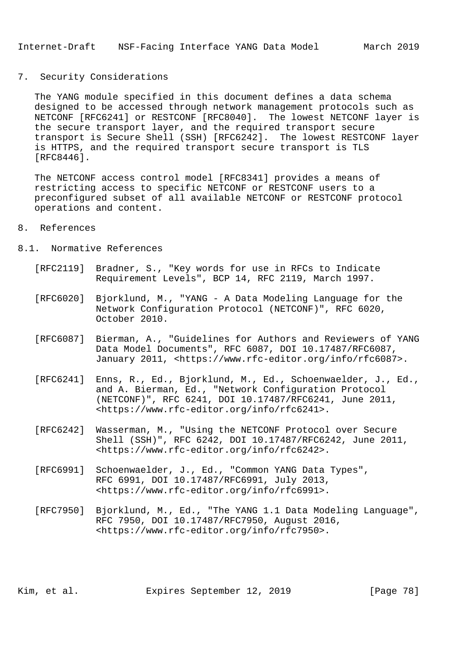## 7. Security Considerations

 The YANG module specified in this document defines a data schema designed to be accessed through network management protocols such as NETCONF [RFC6241] or RESTCONF [RFC8040]. The lowest NETCONF layer is the secure transport layer, and the required transport secure transport is Secure Shell (SSH) [RFC6242]. The lowest RESTCONF layer is HTTPS, and the required transport secure transport is TLS [RFC8446].

 The NETCONF access control model [RFC8341] provides a means of restricting access to specific NETCONF or RESTCONF users to a preconfigured subset of all available NETCONF or RESTCONF protocol operations and content.

## 8. References

## 8.1. Normative References

- [RFC2119] Bradner, S., "Key words for use in RFCs to Indicate Requirement Levels", BCP 14, RFC 2119, March 1997.
- [RFC6020] Bjorklund, M., "YANG A Data Modeling Language for the Network Configuration Protocol (NETCONF)", RFC 6020, October 2010.
- [RFC6087] Bierman, A., "Guidelines for Authors and Reviewers of YANG Data Model Documents", RFC 6087, DOI 10.17487/RFC6087, January 2011, <https://www.rfc-editor.org/info/rfc6087>.
- [RFC6241] Enns, R., Ed., Bjorklund, M., Ed., Schoenwaelder, J., Ed., and A. Bierman, Ed., "Network Configuration Protocol (NETCONF)", RFC 6241, DOI 10.17487/RFC6241, June 2011, <https://www.rfc-editor.org/info/rfc6241>.
- [RFC6242] Wasserman, M., "Using the NETCONF Protocol over Secure Shell (SSH)", RFC 6242, DOI 10.17487/RFC6242, June 2011, <https://www.rfc-editor.org/info/rfc6242>.
- [RFC6991] Schoenwaelder, J., Ed., "Common YANG Data Types", RFC 6991, DOI 10.17487/RFC6991, July 2013, <https://www.rfc-editor.org/info/rfc6991>.
- [RFC7950] Bjorklund, M., Ed., "The YANG 1.1 Data Modeling Language", RFC 7950, DOI 10.17487/RFC7950, August 2016, <https://www.rfc-editor.org/info/rfc7950>.

Kim, et al. Expires September 12, 2019 [Page 78]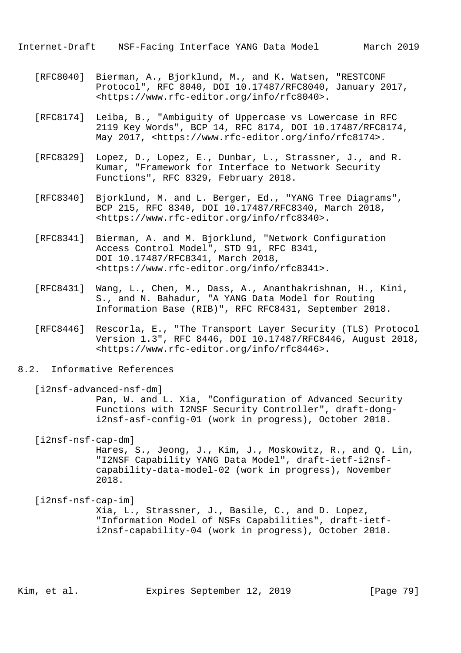Internet-Draft NSF-Facing Interface YANG Data Model March 2019

- [RFC8040] Bierman, A., Bjorklund, M., and K. Watsen, "RESTCONF Protocol", RFC 8040, DOI 10.17487/RFC8040, January 2017, <https://www.rfc-editor.org/info/rfc8040>.
- [RFC8174] Leiba, B., "Ambiguity of Uppercase vs Lowercase in RFC 2119 Key Words", BCP 14, RFC 8174, DOI 10.17487/RFC8174, May 2017, <https://www.rfc-editor.org/info/rfc8174>.
- [RFC8329] Lopez, D., Lopez, E., Dunbar, L., Strassner, J., and R. Kumar, "Framework for Interface to Network Security Functions", RFC 8329, February 2018.
- [RFC8340] Bjorklund, M. and L. Berger, Ed., "YANG Tree Diagrams", BCP 215, RFC 8340, DOI 10.17487/RFC8340, March 2018, <https://www.rfc-editor.org/info/rfc8340>.
- [RFC8341] Bierman, A. and M. Bjorklund, "Network Configuration Access Control Model", STD 91, RFC 8341, DOI 10.17487/RFC8341, March 2018, <https://www.rfc-editor.org/info/rfc8341>.
	- [RFC8431] Wang, L., Chen, M., Dass, A., Ananthakrishnan, H., Kini, S., and N. Bahadur, "A YANG Data Model for Routing Information Base (RIB)", RFC RFC8431, September 2018.
	- [RFC8446] Rescorla, E., "The Transport Layer Security (TLS) Protocol Version 1.3", RFC 8446, DOI 10.17487/RFC8446, August 2018, <https://www.rfc-editor.org/info/rfc8446>.
- 8.2. Informative References

[i2nsf-advanced-nsf-dm] Pan, W. and L. Xia, "Configuration of Advanced Security Functions with I2NSF Security Controller", draft-dong i2nsf-asf-config-01 (work in progress), October 2018.

[i2nsf-nsf-cap-dm]

 Hares, S., Jeong, J., Kim, J., Moskowitz, R., and Q. Lin, "I2NSF Capability YANG Data Model", draft-ietf-i2nsf capability-data-model-02 (work in progress), November 2018.

 [i2nsf-nsf-cap-im] Xia, L., Strassner, J., Basile, C., and D. Lopez, "Information Model of NSFs Capabilities", draft-ietf i2nsf-capability-04 (work in progress), October 2018.

Kim, et al. Expires September 12, 2019 [Page 79]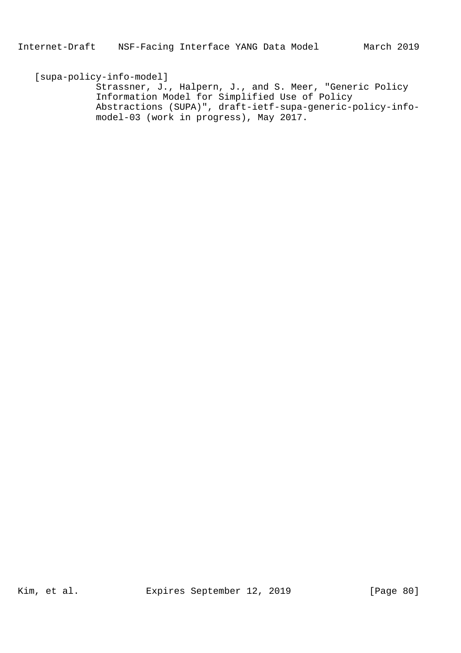[supa-policy-info-model] Strassner, J., Halpern, J., and S. Meer, "Generic Policy Information Model for Simplified Use of Policy Abstractions (SUPA)", draft-ietf-supa-generic-policy-info model-03 (work in progress), May 2017.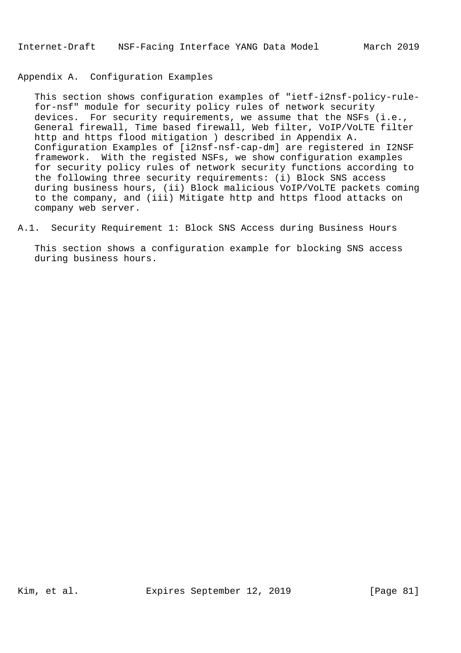## Appendix A. Configuration Examples

 This section shows configuration examples of "ietf-i2nsf-policy-rule for-nsf" module for security policy rules of network security devices. For security requirements, we assume that the NSFs (i.e., General firewall, Time based firewall, Web filter, VoIP/VoLTE filter http and https flood mitigation ) described in Appendix A. Configuration Examples of [i2nsf-nsf-cap-dm] are registered in I2NSF framework. With the registed NSFs, we show configuration examples for security policy rules of network security functions according to the following three security requirements: (i) Block SNS access during business hours, (ii) Block malicious VoIP/VoLTE packets coming to the company, and (iii) Mitigate http and https flood attacks on company web server.

A.1. Security Requirement 1: Block SNS Access during Business Hours

 This section shows a configuration example for blocking SNS access during business hours.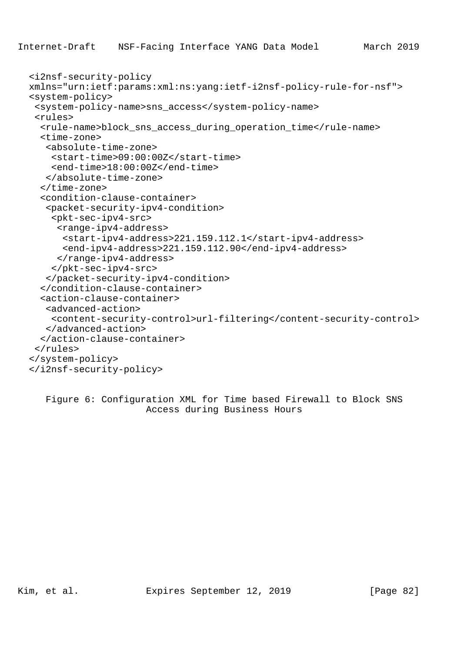```
 <i2nsf-security-policy
xmlns="urn:ietf:params:xml:ns:yang:ietf-i2nsf-policy-rule-for-nsf">
<system-policy>
 <system-policy-name>sns_access</system-policy-name>
 <rules>
  <rule-name>block_sns_access_during_operation_time</rule-name>
  <time-zone>
   <absolute-time-zone>
    <start-time>09:00:00Z</start-time>
    <end-time>18:00:00Z</end-time>
   </absolute-time-zone>
  </time-zone>
  <condition-clause-container>
   <packet-security-ipv4-condition>
    <pkt-sec-ipv4-src>
     <range-ipv4-address>
      <start-ipv4-address>221.159.112.1</start-ipv4-address>
      <end-ipv4-address>221.159.112.90</end-ipv4-address>
     </range-ipv4-address>
    </pkt-sec-ipv4-src>
   </packet-security-ipv4-condition>
  </condition-clause-container>
  <action-clause-container>
   <advanced-action>
    <content-security-control>url-filtering</content-security-control>
   </advanced-action>
  </action-clause-container>
 </rules>
</system-policy>
</i2nsf-security-policy>
```
 Figure 6: Configuration XML for Time based Firewall to Block SNS Access during Business Hours

Kim, et al. Expires September 12, 2019 [Page 82]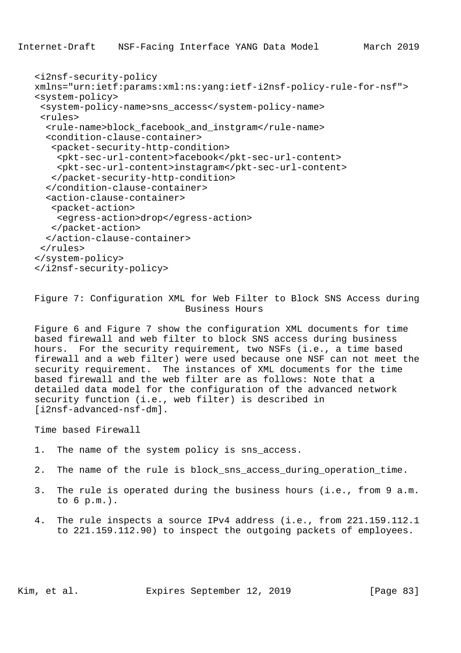```
 <i2nsf-security-policy
xmlns="urn:ietf:params:xml:ns:yang:ietf-i2nsf-policy-rule-for-nsf">
<system-policy>
 <system-policy-name>sns_access</system-policy-name>
 <rules>
  <rule-name>block_facebook_and_instgram</rule-name>
  <condition-clause-container>
   <packet-security-http-condition>
    <pkt-sec-url-content>facebook</pkt-sec-url-content>
    <pkt-sec-url-content>instagram</pkt-sec-url-content>
   </packet-security-http-condition>
  </condition-clause-container>
  <action-clause-container>
   <packet-action>
    <egress-action>drop</egress-action>
   </packet-action>
  </action-clause-container>
 </rules>
</system-policy>
</i2nsf-security-policy>
```
 Figure 7: Configuration XML for Web Filter to Block SNS Access during Business Hours

 Figure 6 and Figure 7 show the configuration XML documents for time based firewall and web filter to block SNS access during business hours. For the security requirement, two NSFs (i.e., a time based firewall and a web filter) were used because one NSF can not meet the security requirement. The instances of XML documents for the time based firewall and the web filter are as follows: Note that a detailed data model for the configuration of the advanced network security function (i.e., web filter) is described in [i2nsf-advanced-nsf-dm].

Time based Firewall

- 1. The name of the system policy is sns\_access.
- 2. The name of the rule is block\_sns\_access\_during\_operation\_time.
- 3. The rule is operated during the business hours (i.e., from 9 a.m. to 6 p.m.).
- 4. The rule inspects a source IPv4 address (i.e., from 221.159.112.1 to 221.159.112.90) to inspect the outgoing packets of employees.

Kim, et al. Expires September 12, 2019 [Page 83]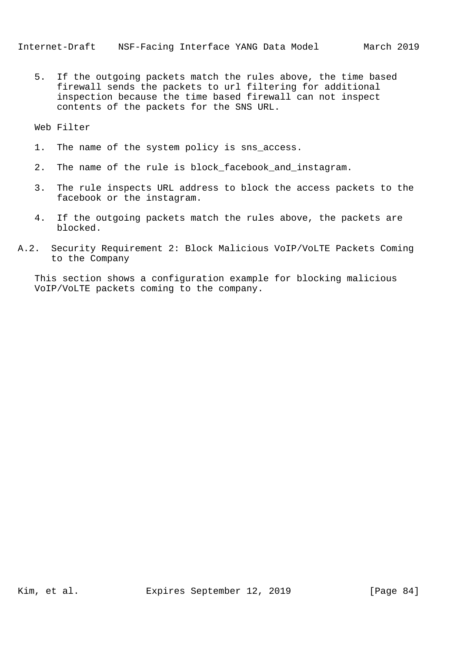5. If the outgoing packets match the rules above, the time based firewall sends the packets to url filtering for additional inspection because the time based firewall can not inspect contents of the packets for the SNS URL.

Web Filter

- 1. The name of the system policy is sns\_access.
- 2. The name of the rule is block facebook and instagram.
- 3. The rule inspects URL address to block the access packets to the facebook or the instagram.
- 4. If the outgoing packets match the rules above, the packets are blocked.
- A.2. Security Requirement 2: Block Malicious VoIP/VoLTE Packets Coming to the Company

 This section shows a configuration example for blocking malicious VoIP/VoLTE packets coming to the company.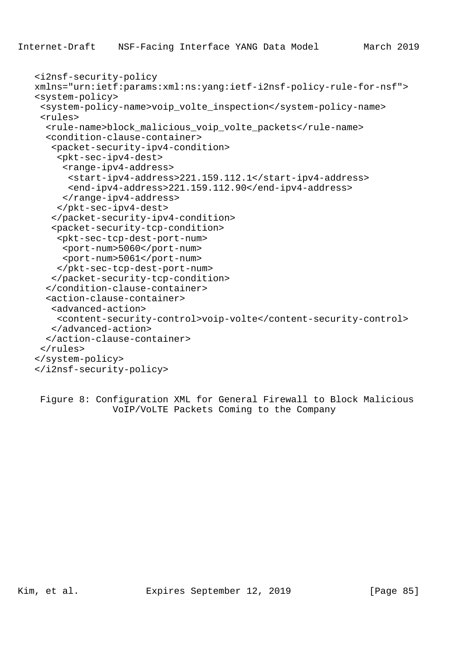```
 <i2nsf-security-policy
xmlns="urn:ietf:params:xml:ns:yang:ietf-i2nsf-policy-rule-for-nsf">
<system-policy>
 <system-policy-name>voip_volte_inspection</system-policy-name>
 <rules>
  <rule-name>block_malicious_voip_volte_packets</rule-name>
  <condition-clause-container>
   <packet-security-ipv4-condition>
    <pkt-sec-ipv4-dest>
     <range-ipv4-address>
      <start-ipv4-address>221.159.112.1</start-ipv4-address>
      <end-ipv4-address>221.159.112.90</end-ipv4-address>
     </range-ipv4-address>
    </pkt-sec-ipv4-dest>
   </packet-security-ipv4-condition>
   <packet-security-tcp-condition>
    <pkt-sec-tcp-dest-port-num>
     <port-num>5060</port-num>
     <port-num>5061</port-num>
    </pkt-sec-tcp-dest-port-num>
   </packet-security-tcp-condition>
  </condition-clause-container>
  <action-clause-container>
   <advanced-action>
    <content-security-control>voip-volte</content-security-control>
   </advanced-action>
  </action-clause-container>
 </rules>
</system-policy>
</i2nsf-security-policy>
```
 Figure 8: Configuration XML for General Firewall to Block Malicious VoIP/VoLTE Packets Coming to the Company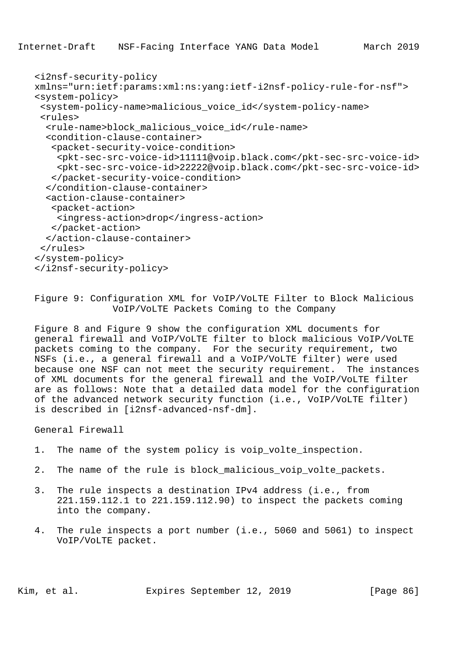```
 <i2nsf-security-policy
xmlns="urn:ietf:params:xml:ns:yang:ietf-i2nsf-policy-rule-for-nsf">
<system-policy>
 <system-policy-name>malicious_voice_id</system-policy-name>
 <rules>
  <rule-name>block_malicious_voice_id</rule-name>
  <condition-clause-container>
   <packet-security-voice-condition>
    <pkt-sec-src-voice-id>11111@voip.black.com</pkt-sec-src-voice-id>
    <pkt-sec-src-voice-id>22222@voip.black.com</pkt-sec-src-voice-id>
   </packet-security-voice-condition>
  </condition-clause-container>
  <action-clause-container>
   <packet-action>
    <ingress-action>drop</ingress-action>
   </packet-action>
  </action-clause-container>
 </rules>
</system-policy>
</i2nsf-security-policy>
```
 Figure 9: Configuration XML for VoIP/VoLTE Filter to Block Malicious VoIP/VoLTE Packets Coming to the Company

 Figure 8 and Figure 9 show the configuration XML documents for general firewall and VoIP/VoLTE filter to block malicious VoIP/VoLTE packets coming to the company. For the security requirement, two NSFs (i.e., a general firewall and a VoIP/VoLTE filter) were used because one NSF can not meet the security requirement. The instances of XML documents for the general firewall and the VoIP/VoLTE filter are as follows: Note that a detailed data model for the configuration of the advanced network security function (i.e., VoIP/VoLTE filter) is described in [i2nsf-advanced-nsf-dm].

General Firewall

- 1. The name of the system policy is voip\_volte\_inspection.
- 2. The name of the rule is block\_malicious\_voip\_volte\_packets.
- 3. The rule inspects a destination IPv4 address (i.e., from 221.159.112.1 to 221.159.112.90) to inspect the packets coming into the company.
- 4. The rule inspects a port number (i.e., 5060 and 5061) to inspect VoIP/VoLTE packet.

Kim, et al. Expires September 12, 2019 [Page 86]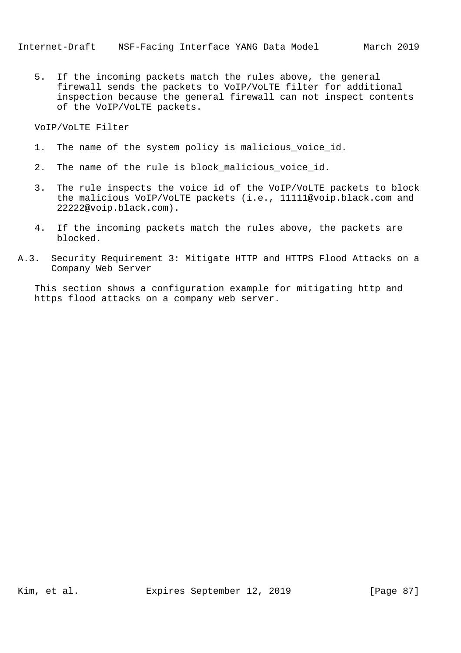5. If the incoming packets match the rules above, the general firewall sends the packets to VoIP/VoLTE filter for additional inspection because the general firewall can not inspect contents of the VoIP/VoLTE packets.

VoIP/VoLTE Filter

- 1. The name of the system policy is malicious\_voice\_id.
- 2. The name of the rule is block malicious voice id.
- 3. The rule inspects the voice id of the VoIP/VoLTE packets to block the malicious VoIP/VoLTE packets (i.e., 11111@voip.black.com and 22222@voip.black.com).
- 4. If the incoming packets match the rules above, the packets are blocked.
- A.3. Security Requirement 3: Mitigate HTTP and HTTPS Flood Attacks on a Company Web Server

 This section shows a configuration example for mitigating http and https flood attacks on a company web server.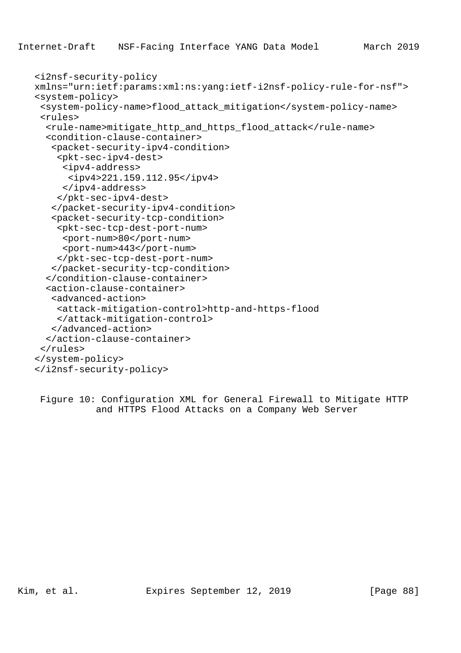```
 <i2nsf-security-policy
xmlns="urn:ietf:params:xml:ns:yang:ietf-i2nsf-policy-rule-for-nsf">
<system-policy>
 <system-policy-name>flood_attack_mitigation</system-policy-name>
 <rules>
  <rule-name>mitigate_http_and_https_flood_attack</rule-name>
  <condition-clause-container>
   <packet-security-ipv4-condition>
    <pkt-sec-ipv4-dest>
     <ipv4-address>
      <ipv4>221.159.112.95</ipv4>
     </ipv4-address>
    </pkt-sec-ipv4-dest>
   </packet-security-ipv4-condition>
   <packet-security-tcp-condition>
    <pkt-sec-tcp-dest-port-num>
     <port-num>80</port-num>
     <port-num>443</port-num>
    </pkt-sec-tcp-dest-port-num>
   </packet-security-tcp-condition>
  </condition-clause-container>
  <action-clause-container>
   <advanced-action>
    <attack-mitigation-control>http-and-https-flood
    </attack-mitigation-control>
   </advanced-action>
  </action-clause-container>
 </rules>
</system-policy>
</i2nsf-security-policy>
```
 Figure 10: Configuration XML for General Firewall to Mitigate HTTP and HTTPS Flood Attacks on a Company Web Server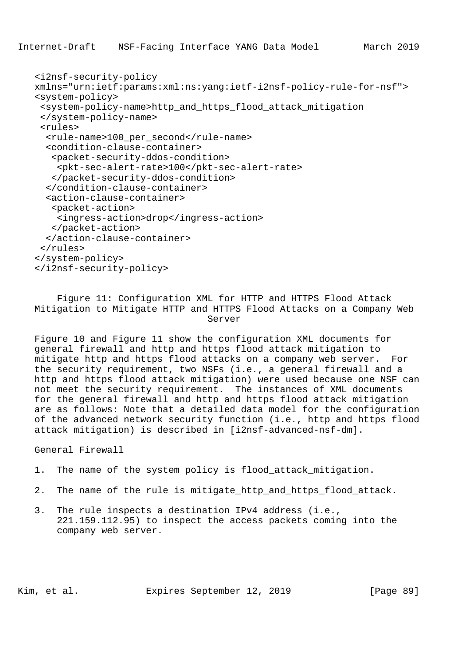Internet-Draft NSF-Facing Interface YANG Data Model March 2019

```
 <i2nsf-security-policy
xmlns="urn:ietf:params:xml:ns:yang:ietf-i2nsf-policy-rule-for-nsf">
<system-policy>
 <system-policy-name>http_and_https_flood_attack_mitigation
 </system-policy-name>
 <rules>
  <rule-name>100_per_second</rule-name>
  <condition-clause-container>
   <packet-security-ddos-condition>
    <pkt-sec-alert-rate>100</pkt-sec-alert-rate>
   </packet-security-ddos-condition>
  </condition-clause-container>
  <action-clause-container>
   <packet-action>
    <ingress-action>drop</ingress-action>
   </packet-action>
  </action-clause-container>
 </rules>
</system-policy>
</i2nsf-security-policy>
```
 Figure 11: Configuration XML for HTTP and HTTPS Flood Attack Mitigation to Mitigate HTTP and HTTPS Flood Attacks on a Company Web Server

 Figure 10 and Figure 11 show the configuration XML documents for general firewall and http and https flood attack mitigation to mitigate http and https flood attacks on a company web server. For the security requirement, two NSFs (i.e., a general firewall and a http and https flood attack mitigation) were used because one NSF can not meet the security requirement. The instances of XML documents for the general firewall and http and https flood attack mitigation are as follows: Note that a detailed data model for the configuration of the advanced network security function (i.e., http and https flood attack mitigation) is described in [i2nsf-advanced-nsf-dm].

General Firewall

```
 1. The name of the system policy is flood_attack_mitigation.
```
- 2. The name of the rule is mitigate http and https flood attack.
- 3. The rule inspects a destination IPv4 address (i.e., 221.159.112.95) to inspect the access packets coming into the company web server.

Kim, et al. **Expires September 12, 2019** [Page 89]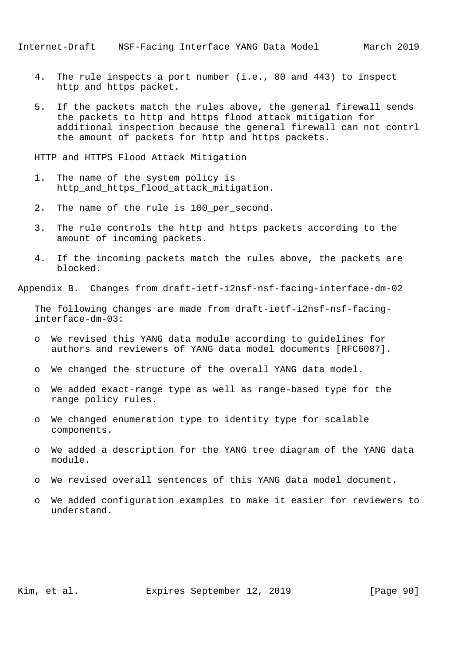- 4. The rule inspects a port number (i.e., 80 and 443) to inspect http and https packet.
- 5. If the packets match the rules above, the general firewall sends the packets to http and https flood attack mitigation for additional inspection because the general firewall can not contrl the amount of packets for http and https packets.

HTTP and HTTPS Flood Attack Mitigation

- 1. The name of the system policy is http\_and\_https\_flood\_attack\_mitigation.
- 2. The name of the rule is 100\_per\_second.
- 3. The rule controls the http and https packets according to the amount of incoming packets.
- 4. If the incoming packets match the rules above, the packets are blocked.

Appendix B. Changes from draft-ietf-i2nsf-nsf-facing-interface-dm-02

 The following changes are made from draft-ietf-i2nsf-nsf-facing interface-dm-03:

- o We revised this YANG data module according to guidelines for authors and reviewers of YANG data model documents [RFC6087].
- o We changed the structure of the overall YANG data model.
- o We added exact-range type as well as range-based type for the range policy rules.
- o We changed enumeration type to identity type for scalable components.
- o We added a description for the YANG tree diagram of the YANG data module.
- o We revised overall sentences of this YANG data model document.
- o We added configuration examples to make it easier for reviewers to understand.

Kim, et al. Expires September 12, 2019 [Page 90]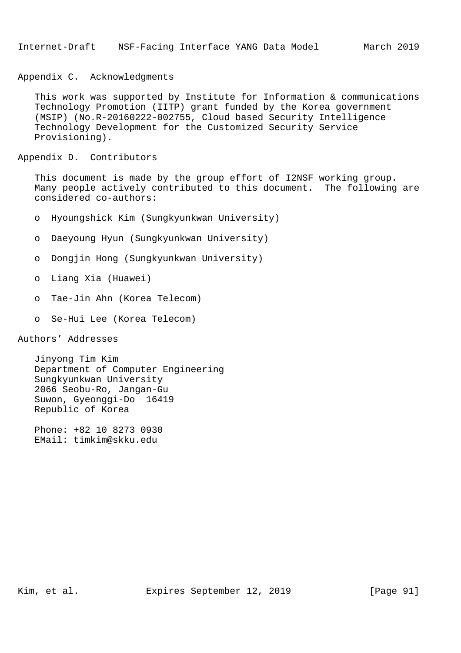Appendix C. Acknowledgments

 This work was supported by Institute for Information & communications Technology Promotion (IITP) grant funded by the Korea government (MSIP) (No.R-20160222-002755, Cloud based Security Intelligence Technology Development for the Customized Security Service Provisioning).

Appendix D. Contributors

 This document is made by the group effort of I2NSF working group. Many people actively contributed to this document. The following are considered co-authors:

- o Hyoungshick Kim (Sungkyunkwan University)
- o Daeyoung Hyun (Sungkyunkwan University)
- o Dongjin Hong (Sungkyunkwan University)
- o Liang Xia (Huawei)
- o Tae-Jin Ahn (Korea Telecom)
- o Se-Hui Lee (Korea Telecom)

Authors' Addresses

 Jinyong Tim Kim Department of Computer Engineering Sungkyunkwan University 2066 Seobu-Ro, Jangan-Gu Suwon, Gyeonggi-Do 16419 Republic of Korea

 Phone: +82 10 8273 0930 EMail: timkim@skku.edu